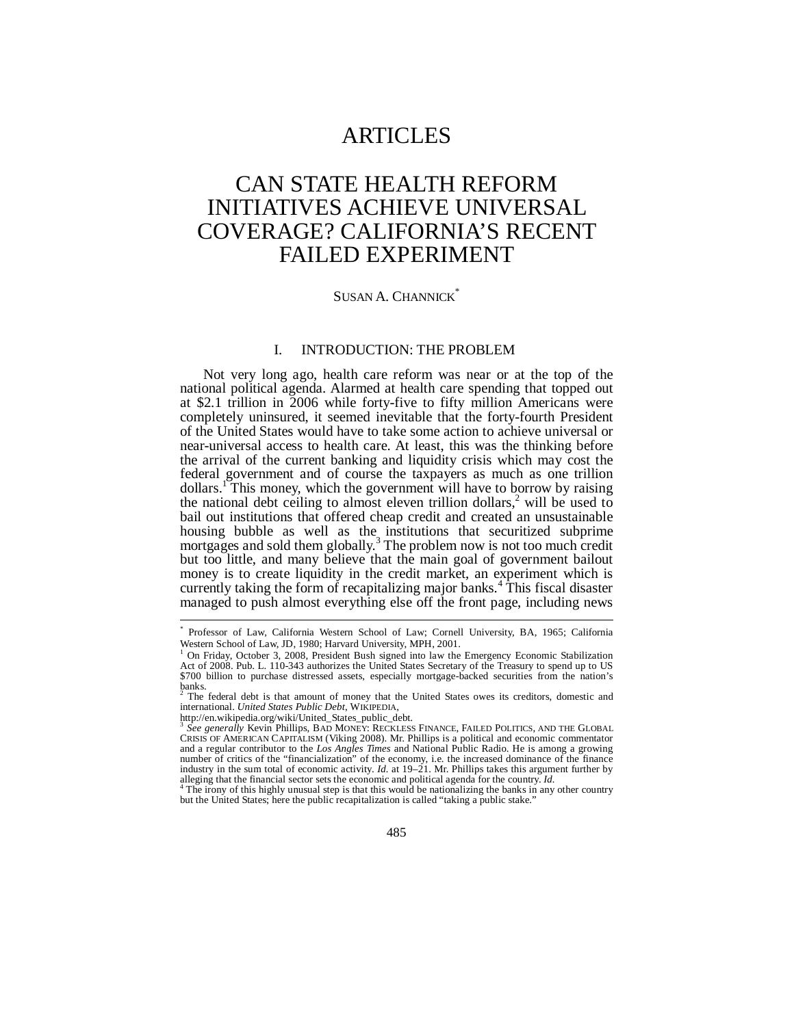## ARTICLES

# CAN STATE HEALTH REFORM INITIATIVES ACHIEVE UNIVERSAL COVERAGE? CALIFORNIA'S RECENT FAILED EXPERIMENT

### SUSAN A. CHANNICK<sup>\*</sup>

#### I. INTRODUCTION: THE PROBLEM

Not very long ago, health care reform was near or at the top of the national political agenda. Alarmed at health care spending that topped out at \$2.1 trillion in 2006 while forty-five to fifty million Americans were completely uninsured, it seemed inevitable that the forty-fourth President of the United States would have to take some action to achieve universal or near-universal access to health care. At least, this was the thinking before the arrival of the current banking and liquidity crisis which may cost the federal government and of course the taxpayers as much as one trillion dollars.<sup>1</sup> This money, which the government will have to borrow by raising the national debt ceiling to almost eleven trillion dollars,<sup>2</sup> will be used to bail out institutions that offered cheap credit and created an unsustainable housing bubble as well as the institutions that securitized subprime mortgages and sold them globally.<sup>3</sup> The problem now is not too much credit but too little, and many believe that the main goal of government bailout money is to create liquidity in the credit market, an experiment which is currently taking the form of recapitalizing major banks.<sup>4</sup> This fiscal disaster managed to push almost everything else off the front page, including news

j

<sup>\*</sup> Professor of Law, California Western School of Law; Cornell University, BA, 1965; California Western School of Law, JD, 1980; Harvard University, MPH, 2001.<br><sup>1</sup> On Friday, Ostober 2, 2008, President Bush signed into law the

On Friday, October 3, 2008, President Bush signed into law the Emergency Economic Stabilization Act of 2008. Pub. L. 110-343 authorizes the United States Secretary of the Treasury to spend up to US \$700 billion to purchase distressed assets, especially mortgage-backed securities from the nation's banks.<br><sup>2</sup> The

The federal debt is that amount of money that the United States owes its creditors, domestic and international. *United States Public Debt*, WIKIPEDIA,

http://en.wikipedia.org/wiki/United\_States\_public\_debt.

<sup>3</sup> *See generally* Kevin Phillips, BAD MONEY: RECKLESS FINANCE, FAILED POLITICS, AND THE GLOBAL CRISIS OF AMERICAN CAPITALISM (Viking 2008). Mr. Phillips is a political and economic commentator and a regular contributor to the *Los Angles Times* and National Public Radio. He is among a growing number of critics of the "financialization" of the economy, i.e. the increased dominance of the finance<br>industry in the sum total of economic activity. *Id.* at 19–21. Mr. Phillips takes this argument further by alleging that the financial sector sets the economic and political agenda for the country. *Id.* <sup>4</sup>

<sup>&</sup>lt;sup>4</sup> The irony of this highly unusual step is that this would be nationalizing the banks in any other country but the United States; here the public recapitalization is called "taking a public stake."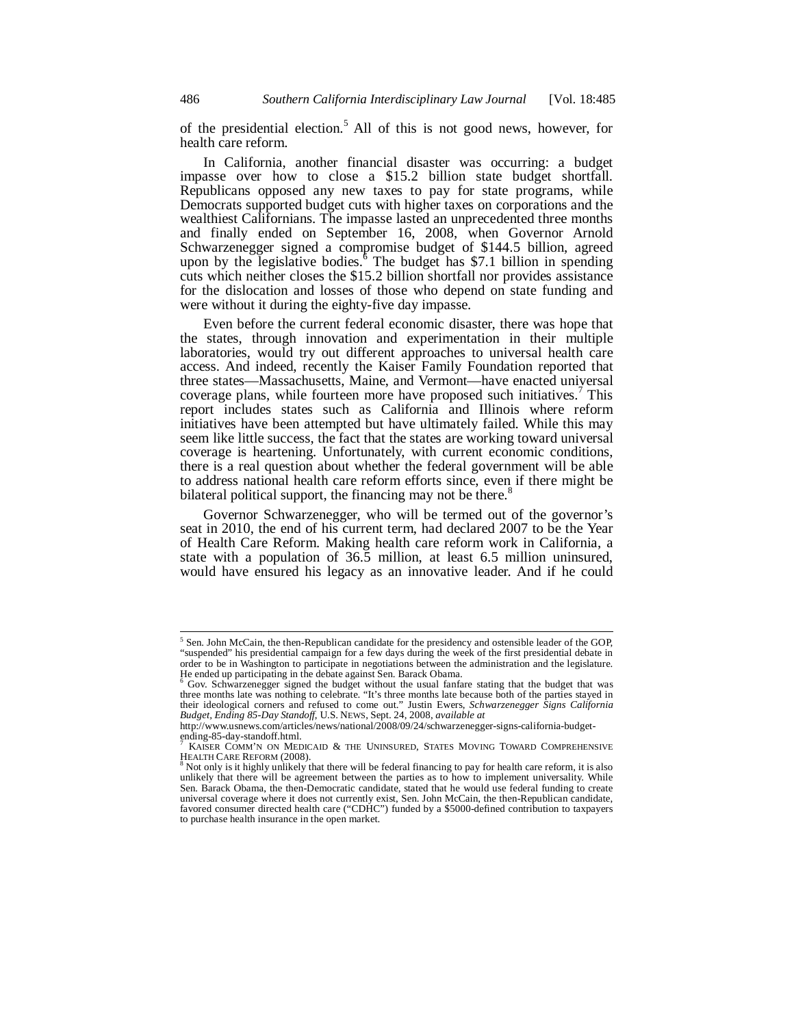of the presidential election.<sup>5</sup> All of this is not good news, however, for health care reform.

In California, another financial disaster was occurring: a budget impasse over how to close a \$15.2 billion state budget shortfall. Republicans opposed any new taxes to pay for state programs, while Democrats supported budget cuts with higher taxes on corporations and the wealthiest Californians. The impasse lasted an unprecedented three months and finally ended on September 16, 2008, when Governor Arnold Schwarzenegger signed a compromise budget of \$144.5 billion, agreed upon by the legislative bodies.<sup>5</sup> The budget has \$7.1 billion in spending cuts which neither closes the \$15.2 billion shortfall nor provides assistance for the dislocation and losses of those who depend on state funding and were without it during the eighty-five day impasse.

Even before the current federal economic disaster, there was hope that the states, through innovation and experimentation in their multiple laboratories, would try out different approaches to universal health care access. And indeed, recently the Kaiser Family Foundation reported that three states—Massachusetts, Maine, and Vermont—have enacted universal coverage plans, while fourteen more have proposed such initiatives.<sup>7</sup> This report includes states such as California and Illinois where reform initiatives have been attempted but have ultimately failed. While this may seem like little success, the fact that the states are working toward universal coverage is heartening. Unfortunately, with current economic conditions, there is a real question about whether the federal government will be able to address national health care reform efforts since, even if there might be bilateral political support, the financing may not be there.<sup>8</sup>

Governor Schwarzenegger, who will be termed out of the governor's seat in 2010, the end of his current term, had declared 2007 to be the Year of Health Care Reform. Making health care reform work in California, a state with a population of 36.5 million, at least 6.5 million uninsured, would have ensured his legacy as an innovative leader. And if he could

 5 Sen. John McCain, the then-Republican candidate for the presidency and ostensible leader of the GOP, "suspended" his presidential campaign for a few days during the week of the first presidential debate in order to be in Washington to participate in negotiations between the administration and the legislature. He ended up participating in the debate against Sen. Barack Obama.

<sup>&</sup>lt;sup>6</sup> Gov. Schwarzenegger signed the budget without the usual fanfare stating that the budget that was three months late was nothing to celebrate. "It's three months late because both of the parties stayed in their ideological corners and refused to come out." Justin Ewers, *Schwarzenegger Signs California Budget, Ending* 

http://www.usnews.com/articles/news/national/2008/09/24/schwarzenegger-signs-california-budgetending-85-day-standoff.html.<br><sup>7</sup> KAISED COMA'N ON MED

KAISER COMM'N ON MEDICAID & THE UNINSURED, STATES MOVING TOWARD COMPREHENSIVE HEALTH CARE REFORM (2008).

Not only is it highly unlikely that there will be federal financing to pay for health care reform, it is also unlikely that there will be agreement between the parties as to how to implement universality. While Sen. Barack Obama, the then-Democratic candidate, stated that he would use federal funding to create universal coverage where it does not currently exist, Sen. John McCain, the then-Republican candidate, favored consumer directed health care ("CDHC") funded by a \$5000-defined contribution to taxpayers to purchase health insurance in the open market.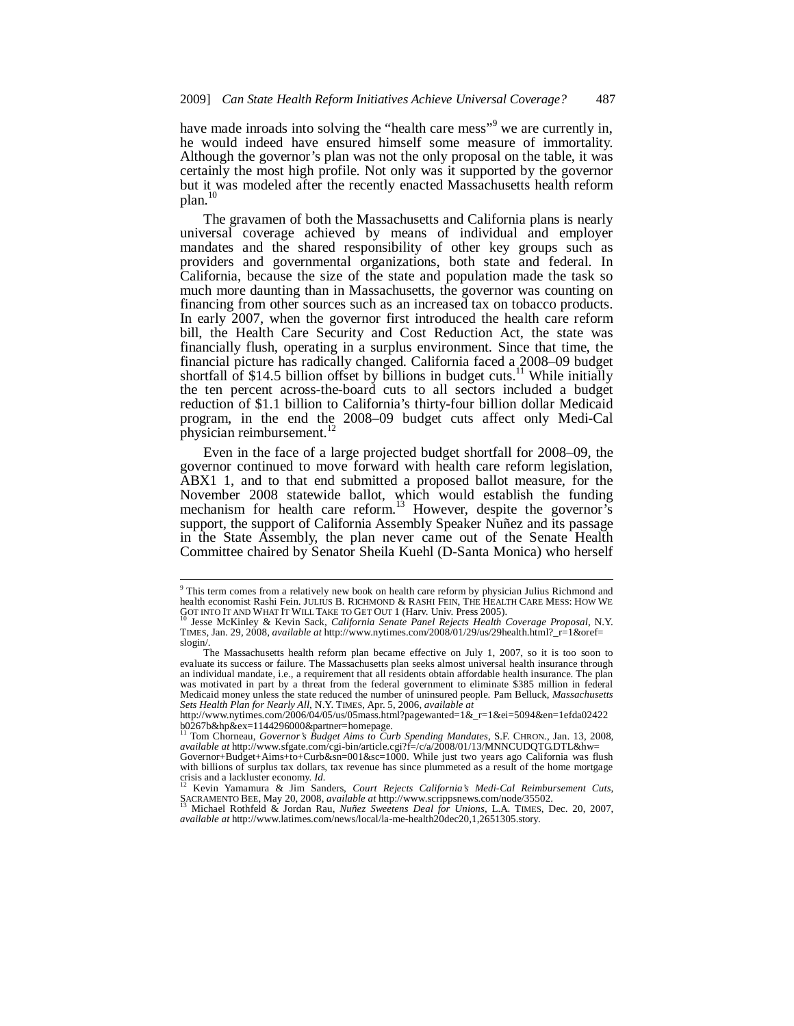have made inroads into solving the "health care mess"<sup>9</sup> we are currently in, he would indeed have ensured himself some measure of immortality. Although the governor's plan was not the only proposal on the table, it was certainly the most high profile. Not only was it supported by the governor but it was modeled after the recently enacted Massachusetts health reform  $plan.<sup>1</sup>$ 

The gravamen of both the Massachusetts and California plans is nearly universal coverage achieved by means of individual and employer mandates and the shared responsibility of other key groups such as providers and governmental organizations, both state and federal. In California, because the size of the state and population made the task so much more daunting than in Massachusetts, the governor was counting on financing from other sources such as an increased tax on tobacco products. In early 2007, when the governor first introduced the health care reform bill, the Health Care Security and Cost Reduction Act, the state was financially flush, operating in a surplus environment. Since that time, the financial picture has radically changed. California faced a 2008–09 budget shortfall of \$14.5 billion offset by billions in budget cuts.<sup>11</sup> While initially the ten percent across-the-board cuts to all sectors included a budget reduction of \$1.1 billion to California's thirty-four billion dollar Medicaid program, in the end the 2008–09 budget cuts affect only Medi-Cal physician reimbursement.<sup>1</sup>

Even in the face of a large projected budget shortfall for 2008–09, the governor continued to move forward with health care reform legislation, ABX1 1, and to that end submitted a proposed ballot measure, for the November 2008 statewide ballot, which would establish the funding mechanism for health care reform.<sup>13</sup> However, despite the governor's support, the support of California Assembly Speaker Nuñez and its passage in the State Assembly, the plan never came out of the Senate Health Committee chaired by Senator Sheila Kuehl (D-Santa Monica) who herself

 9 This term comes from a relatively new book on health care reform by physician Julius Richmond and health economist Rashi Fein. JULIUS B. RICHMOND & RASHI FEIN, THE HEALTH CARE MESS: HOW WE GOT INTO IT AND WHAT IT WILL TAKE TO GET OUT 1 (Harv. Univ. Press 2005).<br><sup>10</sup> Jesse McKinley & Kevin Sack, *California Senate Panel Rejects Health Coverage Proposal*, N.Y.

TIMES, Jan. 29, 2008, *available at* http://www.nytimes.com/2008/01/29/us/29health.html?\_r=1&oref= slogin/.

The Massachusetts health reform plan became effective on July 1, 2007, so it is too soon to evaluate its success or failure. The Massachusetts plan seeks almost universal health insurance through an individual mandate, i.e., a requirement that all residents obtain affordable health insurance. The plan was motivated in part by a threat from the federal government to eliminate \$385 million in federal Medicaid money unless the state reduced the number of uninsured people. Pam Belluck, *Massachusetts Sets Health Plan for Nearly All*, N.Y. TIMES, Apr. 5, 2006, *available at*

http://www.nytimes.com/2006/04/05/us/05mass.html?pagewanted=1&\_r=1&ei=5094&en=1efda02422 b0267b&hp&ex=1144296000&partner=homepage. 11 Tom Chorneau, *Governor's Budget Aims to Curb Spending Mandates*, S.F. CHRON., Jan. 13, 2008,

*available at* http://www.sfgate.com/cgi-bin/article.cgi?f=/c/a/2008/01/13/MNNCUDQTG.DTL&hw= Governor+Budget+Aims+to+Curb&sn=001&sc=1000. While just two years ago California was flush with billions of surplus tax dollars, tax revenue has since plummeted as a result of the home mortgage crisis and a lackluster economy.  $Id$ .

Kevin Yamamura & Jim Sanders, *Court Rejects California's Medi-Cal Reimbursement Cuts*, SACRAMENTO BEE, May 20, 2008, *available at* http://www.scrippsnews.com/node/35502. 13 Michael Rothfeld & Jordan Rau, *Nuñez Sweetens Deal for Unions*, L.A. TIMES, Dec. 20, 2007,

*available at* http://www.latimes.com/news/local/la-me-health20dec20,1,2651305.story.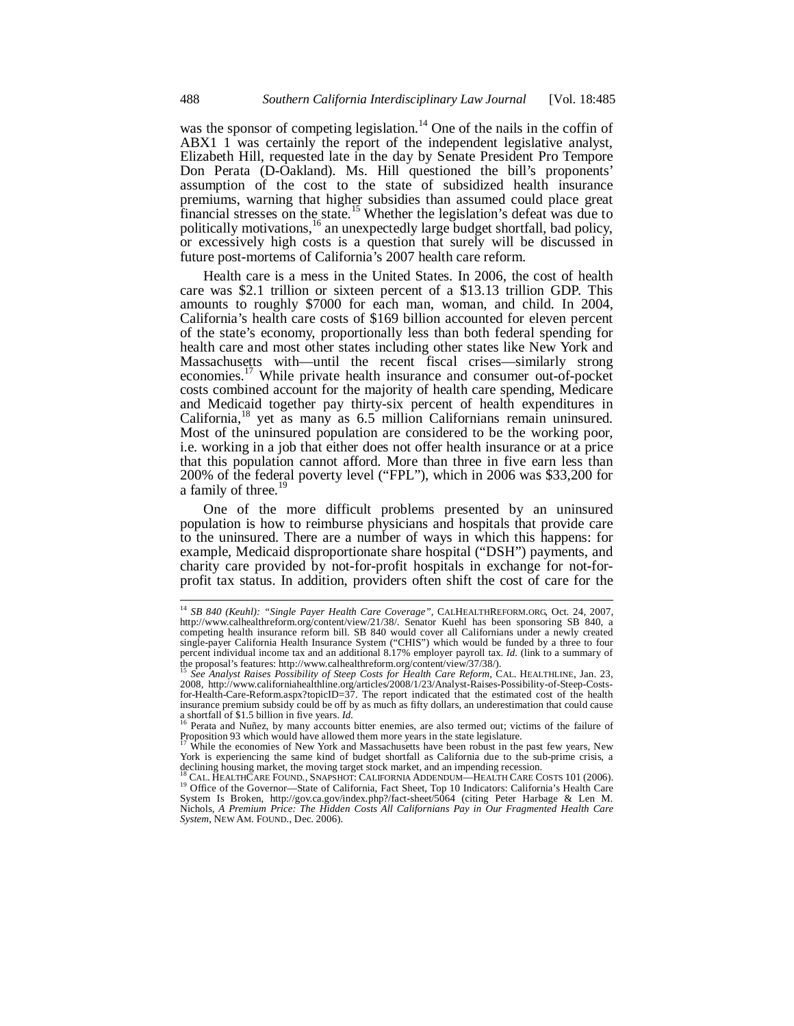was the sponsor of competing legislation.<sup>14</sup> One of the nails in the coffin of ABX1 1 was certainly the report of the independent legislative analyst, Elizabeth Hill, requested late in the day by Senate President Pro Tempore Don Perata (D-Oakland). Ms. Hill questioned the bill's proponents' assumption of the cost to the state of subsidized health insurance premiums, warning that higher subsidies than assumed could place great financial stresses on the state.<sup>15</sup> Whether the legislation's defeat was due to politically motivations,<sup>16</sup> an unexpectedly large budget shortfall, bad policy, or excessively high costs is a question that surely will be discussed in future post-mortems of California's 2007 health care reform.

Health care is a mess in the United States. In 2006, the cost of health care was \$2.1 trillion or sixteen percent of a \$13.13 trillion GDP. This amounts to roughly \$7000 for each man, woman, and child. In 2004, California's health care costs of \$169 billion accounted for eleven percent of the state's economy, proportionally less than both federal spending for health care and most other states including other states like New York and Massachusetts with—until the recent fiscal crises—similarly strong economies.<sup>17</sup> While private health insurance and consumer out-of-pocket costs combined account for the majority of health care spending, Medicare and Medicaid together pay thirty-six percent of health expenditures in California,18 yet as many as 6.5 million Californians remain uninsured. Most of the uninsured population are considered to be the working poor, i.e. working in a job that either does not offer health insurance or at a price that this population cannot afford. More than three in five earn less than 200% of the federal poverty level ("FPL"), which in 2006 was \$33,200 for a family of three.<sup>19</sup>

One of the more difficult problems presented by an uninsured population is how to reimburse physicians and hospitals that provide care to the uninsured. There are a number of ways in which this happens: for example, Medicaid disproportionate share hospital ("DSH") payments, and charity care provided by not-for-profit hospitals in exchange for not-forprofit tax status. In addition, providers often shift the cost of care for the

j

<sup>14</sup> *SB 840 (Keuhl): "Single Payer Health Care Coverage"*, CALHEALTHREFORM.ORG, Oct. 24, 2007, http://www.calhealthreform.org/content/view/21/38/. Senator Kuehl has been sponsoring SB 840, a competing health insurance reform bill. SB 840 would cover all Californians under a newly created single-payer California Health Insurance System ("CHIS") which would be funded by a three to four percent individual income tax and an additional 8.17% employer payroll tax. *Id.* (link to a summary of

the proposal's features: http://www.calhealthreform.org/content/view/37/38/). <sup>15</sup> *See Analyst Raises Possibility of Steep Costs for Health Care Reform*, CAL. HEALTHLINE, Jan. 23, 2008, http://www.californiahealthline.org/articles/2008/1/23/Analyst-Raises-Possibility-of-Steep-Costsfor-Health-Care-Reform.aspx?topicID=37. The report indicated that the estimated cost of the health insurance premium subsidy could be off by as much as fifty dollars, an underestimation that could cause a shortfall of \$1.5 billion in five years. *Id.* 16 Bernard as may account bitter enemies, are also termed out; victims of the failure of  $16$ <sup>16</sup> Perata and Nuñez, by many accounts bitter enemies, are also termed out; vi

Proposition 93 which would have allowed them more years in the state legislature.<br><sup>17</sup> While the second the state legislature.

While the economies of New York and Massachusetts have been robust in the past few years, New York is experiencing the same kind of budget shortfall as California due to the sub-prime crisis, a declining housing market, the moving target stock market, and an impending recession.<br><sup>18</sup> CAL. HEALTHCARE FOUND., SNAPSHOT: CALIFORNIA ADDENDUM—HEALTH CARE COSTS 101 (2006).

<sup>&</sup>lt;sup>18</sup> CAL. HEALTHCARE FOUND., SNAPSHOT: CALIFORNIA ADDENDUM—HEALTH CARE COSTS 101 (2006).<br><sup>19</sup> Office of the Governor—State of California, Fact Sheet, Top 10 Indicators: California's Health Care<br>System Is Broken, http://gov Nichols, *A Premium Price: The Hidden Costs All Californians Pay in Our Fragmented Health Care System*, NEW AM. FOUND., Dec. 2006).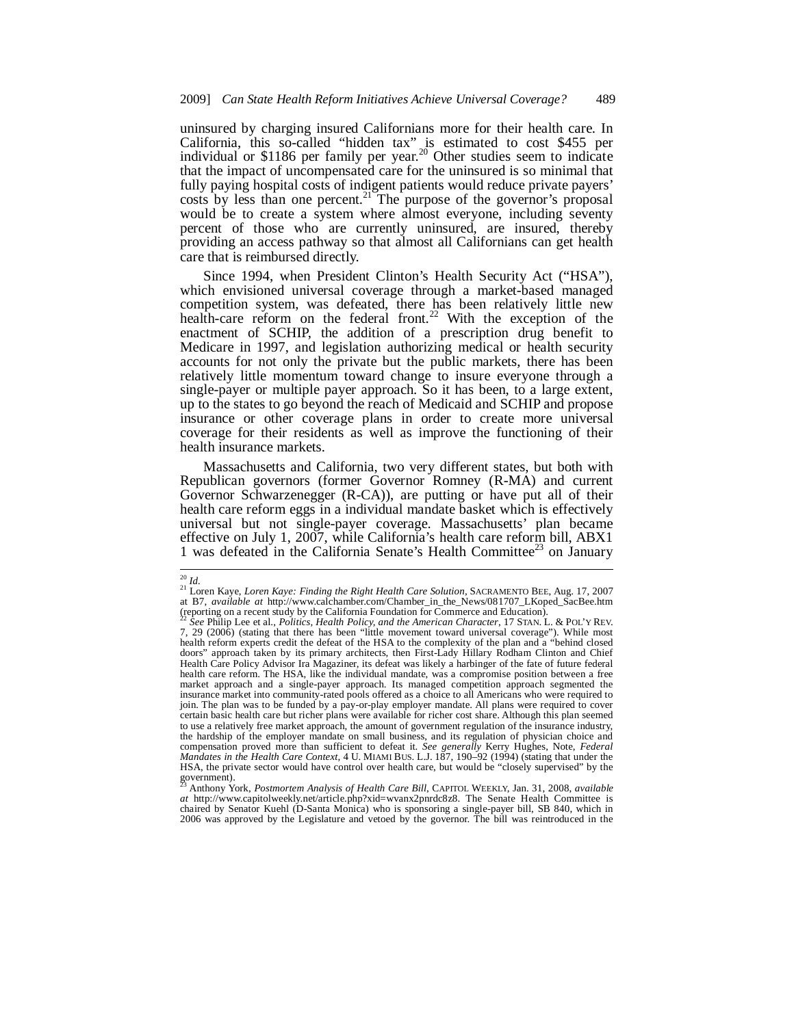uninsured by charging insured Californians more for their health care. In California, this so-called "hidden tax" is estimated to cost \$455 per individual or \$1186 per family per year.<sup>20</sup> Other studies seem to indicate that the impact of uncompensated care for the uninsured is so minimal that fully paying hospital costs of indigent patients would reduce private payers' costs by less than one percent.<sup>21</sup> The purpose of the governor's proposal would be to create a system where almost everyone, including seventy percent of those who are currently uninsured, are insured, thereby providing an access pathway so that almost all Californians can get health care that is reimbursed directly.

Since 1994, when President Clinton's Health Security Act ("HSA"), which envisioned universal coverage through a market-based managed competition system, was defeated, there has been relatively little new health-care reform on the federal front.<sup>22</sup> With the exception of the enactment of SCHIP, the addition of a prescription drug benefit to Medicare in 1997, and legislation authorizing medical or health security accounts for not only the private but the public markets, there has been relatively little momentum toward change to insure everyone through a single-payer or multiple payer approach. So it has been, to a large extent, up to the states to go beyond the reach of Medicaid and SCHIP and propose insurance or other coverage plans in order to create more universal coverage for their residents as well as improve the functioning of their health insurance markets.

Massachusetts and California, two very different states, but both with Republican governors (former Governor Romney (R-MA) and current Governor Schwarzenegger (R-CA)), are putting or have put all of their health care reform eggs in a individual mandate basket which is effectively universal but not single-payer coverage. Massachusetts' plan became effective on July 1, 2007, while California's health care reform bill, ABX1 1 was defeated in the California Senate's Health Committee<sup>23</sup> on January

 $^{\rm 20}$   $ld.$ 

<sup>&</sup>lt;sup>21</sup> Loren Kaye, *Loren Kaye: Finding the Right Health Care Solution*, SACRAMENTO BEE, Aug. 17, 2007 at B7, *available at* http://www.calchamber.com/Chamber\_in\_the\_News/081707\_LKoped\_SacBee.htm (reporting on a recent study by the California Foundation for Commerce and Education).

<sup>22</sup> *See* Philip Lee et al., *Politics, Health Policy, and the American Character*, 17 STAN. L. & POL'Y REV. 7, 29 (2006) (stating that there has been "little movement toward universal coverage"). While most health reform experts credit the defeat of the HSA to the complexity of the plan and a "behind closed doors" approach taken by its primary architects, then First-Lady Hillary Rodham Clinton and Chief Health Care Policy Advisor Ira Magaziner, its defeat was likely a harbinger of the fate of future federal health care reform. The HSA, like the individual mandate, was a compromise position between a free market approach and a single-payer approach. Its managed competition approach segmented the insurance market into community-rated pools offered as a choice to all Americans who were required to join. The plan was to be funded by a pay-or-play employer mandate. All plans were required to cover certain basic health care but richer plans were available for richer cost share. Although this plan seemed to use a relatively free market approach, the amount of government regulation of the insurance industry, the hardship of the employer mandate on small business, and its regulation of physician choice and compensation proved more than sufficient to defeat it. *See generally* Kerry Hughes, Note, *Federal Mandates in the Health Care Context*, 4 U. MIAMI BUS. L.J. 187, 190–92 (1994) (stating that under the HSA, the private sector would have control over health care, but would be "closely supervised" by the government).

<sup>23</sup> Anthony York, *Postmortem Analysis of Health Care Bill*, CAPITOL WEEKLY, Jan. 31, 2008, *available at* http://www.capitolweekly.net/article.php?xid=wvanx2pnrdc8z8. The Senate Health Committee is chaired by Senator Kuehl (D-Santa Monica) who is sponsoring a single-payer bill, SB 840, which in 2006 was approved by the Legislature and vetoed by the governor. The bill was reintroduced in the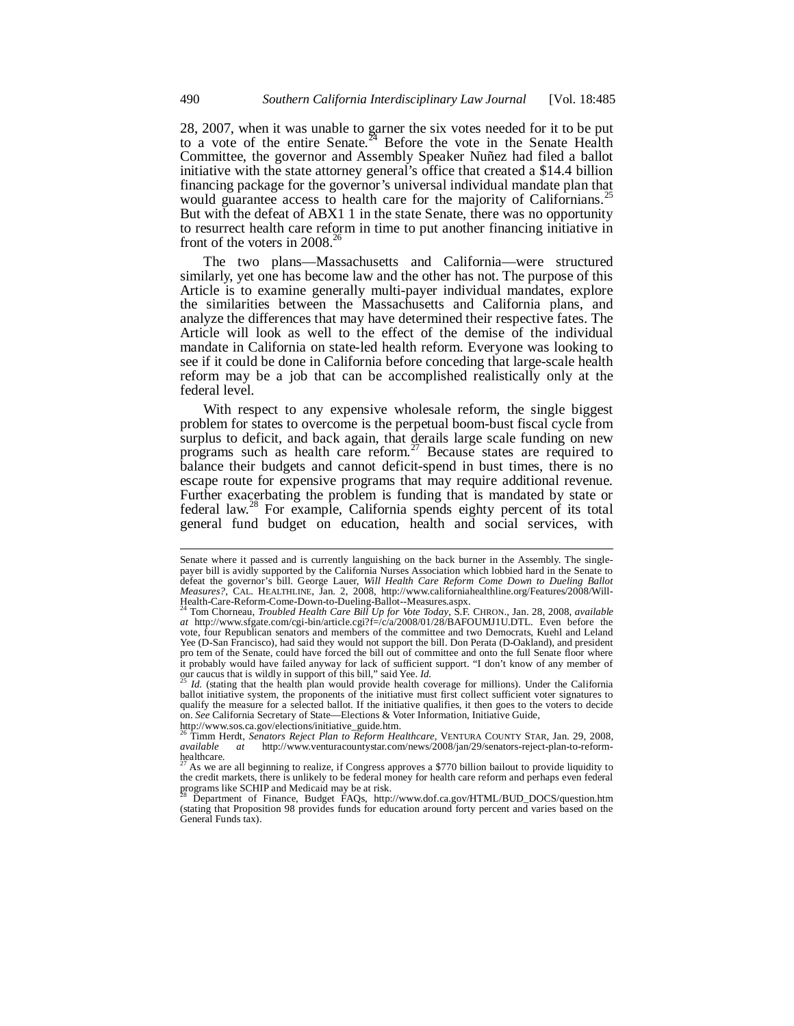28, 2007, when it was unable to garner the six votes needed for it to be put to a vote of the entire Senate.<sup>24</sup> Before the vote in the Senate Health Committee, the governor and Assembly Speaker Nuñez had filed a ballot initiative with the state attorney general's office that created a \$14.4 billion financing package for the governor's universal individual mandate plan that would guarantee access to health care for the majority of Californians.<sup>25</sup> But with the defeat of ABX1 1 in the state Senate, there was no opportunity to resurrect health care reform in time to put another financing initiative in front of the voters in  $2008.<sup>26</sup>$ 

The two plans—Massachusetts and California—were structured similarly, yet one has become law and the other has not. The purpose of this Article is to examine generally multi-payer individual mandates, explore the similarities between the Massachusetts and California plans, and analyze the differences that may have determined their respective fates. The Article will look as well to the effect of the demise of the individual mandate in California on state-led health reform. Everyone was looking to see if it could be done in California before conceding that large-scale health reform may be a job that can be accomplished realistically only at the federal level.

With respect to any expensive wholesale reform, the single biggest problem for states to overcome is the perpetual boom-bust fiscal cycle from surplus to deficit, and back again, that derails large scale funding on new programs such as health care reform.<sup>27</sup> Because states are required to balance their budgets and cannot deficit-spend in bust times, there is no escape route for expensive programs that may require additional revenue. Further exacerbating the problem is funding that is mandated by state or federal law.28 For example, California spends eighty percent of its total general fund budget on education, health and social services, with

Senate where it passed and is currently languishing on the back burner in the Assembly. The singlepayer bill is avidly supported by the California Nurses Association which lobbied hard in the Senate to defeat the governor's bill. George Lauer, *Will Health Care Reform Come Down to Dueling Ballot Measures?*, CAL. HEALTHLINE, Jan. 2, 2008, http://www.californiahealthline.org/Features/2008/Will-

Health-Care-Reform-Come-Down-to-Dueling-Ballot--Measures.aspx. 24 Tom Chorneau, *Troubled Health Care Bill Up for Vote Today*, S.F. CHRON., Jan. 28, 2008, *available at* http://www.sfgate.com/cgi-bin/article.cgi?f=/c/a/2008/01/28/BAFOUMJ1U.DTL. Even before the vote, four Republican senators and members of the committee and two Democrats, Kuehl and Leland Yee (D-San Francisco), had said they would not support the bill. Don Perata (D-Oakland), and president pro tem of the Senate, could have forced the bill out of committee and onto the full Senate floor where pro tem of the Senate, could have forced the bill out of committee and onto the full Senate floor where it probably would have failed anyway for lack of sufficient support. "I don't know of any member of our caucus that is wildly in support of this bill," said Yee. *Id.*<br><sup>25</sup> *Id.* (stating that the health plan would provid

ballot initiative system, the proponents of the initiative must first collect sufficient voter signatures to qualify the measure for a selected ballot. If the initiative qualifies, it then goes to the voters to decide on. *See* California Secretary of State—Elections & Voter Information, Initiative Guide,

http://www.sos.ca.gov/elections/initiative\_guide.htm. 26 Timm Herdt, *Senators Reject Plan to Reform Healthcare*, VENTURA COUNTY STAR, Jan. 29, 2008, *available at* http://www.venturacountystar.com/news/2008/jan/29/senators-reject-plan-to-reformhealthcare.

<sup>27</sup> As we are all beginning to realize, if Congress approves a \$770 billion bailout to provide liquidity to the credit markets, there is unlikely to be federal money for health care reform and perhaps even federal programs like SCHIP and Medicaid may be at risk.

<sup>28</sup> Department of Finance, Budget FAQs, http://www.dof.ca.gov/HTML/BUD\_DOCS/question.htm (stating that Proposition 98 provides funds for education around forty percent and varies based on the General Funds tax).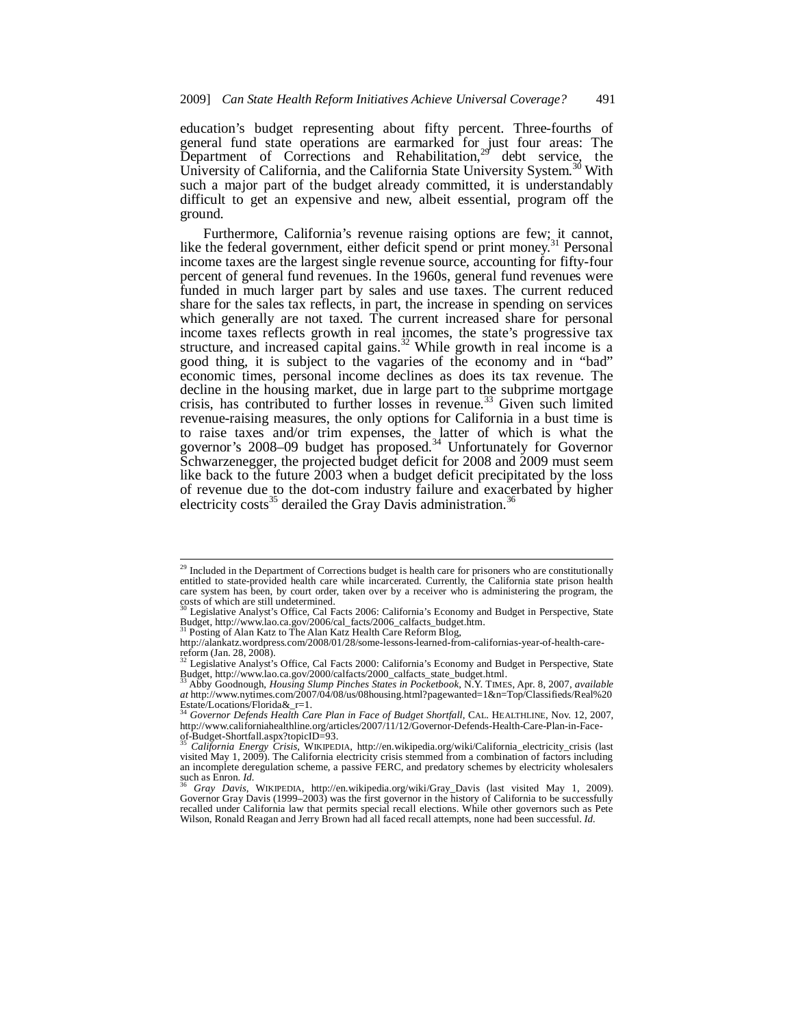education's budget representing about fifty percent. Three-fourths of general fund state operations are earmarked for just four areas: The Department of Corrections and Rehabilitation, <sup>29</sup> debt service, the University of California, and the California State University System.<sup>30</sup> With such a major part of the budget already committed, it is understandably difficult to get an expensive and new, albeit essential, program off the ground.

Furthermore, California's revenue raising options are few; it cannot, like the federal government, either deficit spend or print money.<sup>31</sup> Personal income taxes are the largest single revenue source, accounting for fifty-four percent of general fund revenues. In the 1960s, general fund revenues were funded in much larger part by sales and use taxes. The current reduced share for the sales tax reflects, in part, the increase in spending on services which generally are not taxed. The current increased share for personal income taxes reflects growth in real incomes, the state's progressive tax structure, and increased capital gains. $32$  While growth in real income is a good thing, it is subject to the vagaries of the economy and in "bad" economic times, personal income declines as does its tax revenue. The decline in the housing market, due in large part to the subprime mortgage crisis, has contributed to further losses in revenue.<sup>33</sup> Given such limited revenue-raising measures, the only options for California in a bust time is to raise taxes and/or trim expenses, the latter of which is what the governor's 2008–09 budget has proposed.<sup>34</sup> Unfortunately for Governor Schwarzenegger, the projected budget deficit for 2008 and 2009 must seem like back to the future 2003 when a budget deficit precipitated by the loss of revenue due to the dot-com industry failure and exacerbated by higher electricity costs<sup>35</sup> derailed the Gray Davis administration.<sup>36</sup>

 $\overline{a}$ 

<sup>&</sup>lt;sup>29</sup> Included in the Department of Corrections budget is health care for prisoners who are constitutionally entitled to state-provided health care while incarcerated. Currently, the California state prison health care system has been, by court order, taken over by a receiver who is administering the program, the costs of which are still undetermined.

Legislative Analyst's Office, Cal Facts 2006: California's Economy and Budget in Perspective, State Budget, http://www.lao.ca.gov/2006/cal\_facts/2006\_calfacts\_budget.htm. 31 Posting of Alan Katz to The Alan Katz Health Care Reform Blog,

http://alankatz.wordpress.com/2008/01/28/some-lessons-learned-from-californias-year-of-health-carereform (Jan. 28, 2008).

Legislative Analyst's Office, Cal Facts 2000: California's Economy and Budget in Perspective, State Budget, http://www.lao.ca.gov/2000/calfacts/2000\_calfacts\_state\_budget.html.

<sup>33</sup> Abby Goodnough, *Housing Slump Pinches States in Pocketbook*, N.Y. TIMES, Apr. 8, 2007, *available at* http://www.nytimes.com/2007/04/08/us/08housing.html?pagewanted=1&n=Top/Classifieds/Real%20 Estate/Locations/Florida&\_r=1.

<sup>34</sup> *Governor Defends Health Care Plan in Face of Budget Shortfall*, CAL. HEALTHLINE, Nov. 12, 2007, http://www.californiahealthline.org/articles/2007/11/12/Governor-Defends-Health-Care-Plan-in-Face-of-Budget-Shortfall.aspx?topicID=93.

<sup>35</sup> *California Energy Crisis*, WIKIPEDIA, http://en.wikipedia.org/wiki/California\_electricity\_crisis (last visited May 1, 2009). The California electricity crisis stemmed from a combination of factors including an incomplete deregulation scheme, a passive FERC, and predatory schemes by electricity wholesalers such as Enron.  $Id$ .

such as Enron. *Id.*<br><sup>36</sup> Gray Davis, WIKIPEDIA, http://en.wikipedia.org/wiki/Gray\_Davis (last visited May 1, 2009).<br>Governor Gray Davis (1999–2003) was the first governor in the history of California to be successfully recalled under California law that permits special recall elections. While other governors such as Pete Wilson, Ronald Reagan and Jerry Brown had all faced recall attempts, none had been successful. *Id.*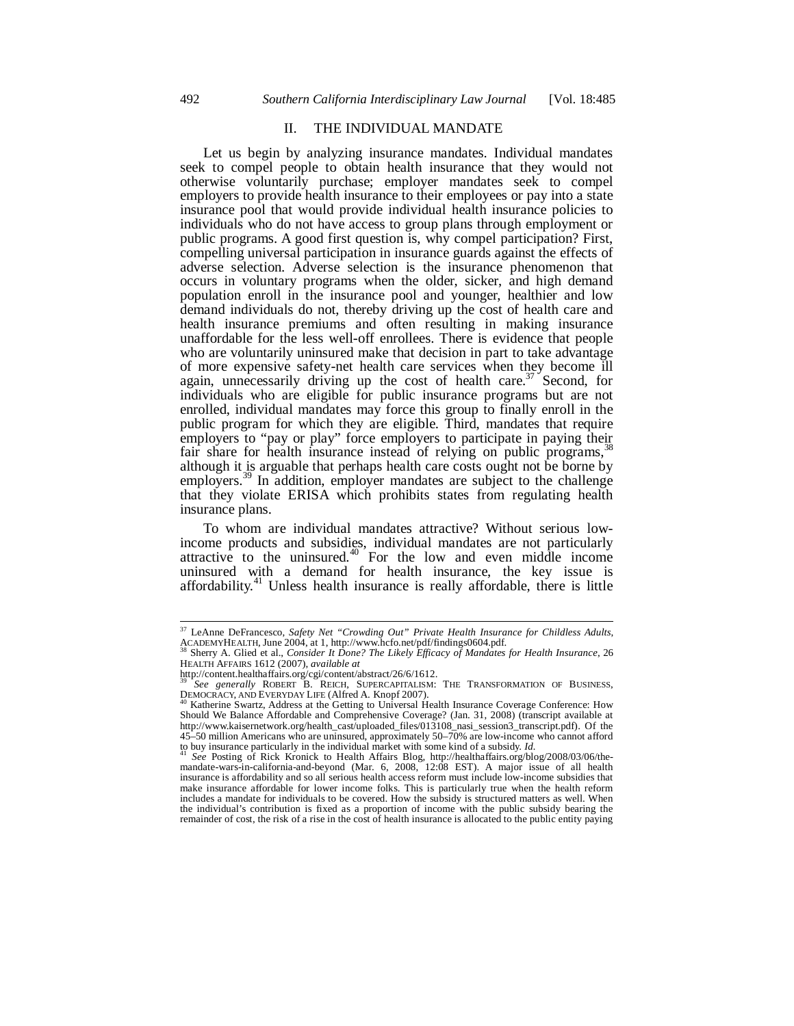#### II. THE INDIVIDUAL MANDATE

Let us begin by analyzing insurance mandates. Individual mandates seek to compel people to obtain health insurance that they would not otherwise voluntarily purchase; employer mandates seek to compel employers to provide health insurance to their employees or pay into a state insurance pool that would provide individual health insurance policies to individuals who do not have access to group plans through employment or public programs. A good first question is, why compel participation? First, compelling universal participation in insurance guards against the effects of adverse selection. Adverse selection is the insurance phenomenon that occurs in voluntary programs when the older, sicker, and high demand population enroll in the insurance pool and younger, healthier and low demand individuals do not, thereby driving up the cost of health care and health insurance premiums and often resulting in making insurance unaffordable for the less well-off enrollees. There is evidence that people who are voluntarily uninsured make that decision in part to take advantage of more expensive safety-net health care services when they become ill again, unnecessarily driving up the cost of health care.<sup>37</sup> Second, for individuals who are eligible for public insurance programs but are not enrolled, individual mandates may force this group to finally enroll in the public program for which they are eligible. Third, mandates that require employers to "pay or play" force employers to participate in paying their fair share for health insurance instead of relying on public programs,<sup>3</sup> although it is arguable that perhaps health care costs ought not be borne by employers.<sup>39</sup> In addition, employer mandates are subject to the challenge that they violate ERISA which prohibits states from regulating health insurance plans.

To whom are individual mandates attractive? Without serious lowincome products and subsidies, individual mandates are not particularly attractive to the uninsured. $40$  For the low and even middle income uninsured with a demand for health insurance, the key issue is affordability.<sup>41</sup> Unless health insurance is really affordable, there is little

 $\overline{a}$ 

<sup>37</sup> LeAnne DeFrancesco, *Safety Net "Crowding Out" Private Health Insurance for Childless Adults*, ACADEMYHEALTH, June 2004, at 1, http://www.hcfo.net/pdf/findings0604.pdf.<br><sup>38</sup> Sherry A. Glied et al., *Consider It Done? The Likely Efficacy of Mandates for Health Insurance*, 26<sup>38</sup>

HEALTH AFFAIRS 1612 (2007), *available at*

http://content.healthaffairs.org/cgi/content/abstract/26/6/1612. <sup>39</sup> *See generally* ROBERT B. REICH, SUPERCAPITALISM: THE TRANSFORMATION OF BUSINESS, DEMOCRACY, AND EVERYDAY LIFE (Alfred A. Knopf 2007).<br><sup>40</sup> Katherine Swartz, Address at the Getting to Universal Health Insurance Coverage Conference: How

Should We Balance Affordable and Comprehensive Coverage? (Jan. 31, 2008) (transcript available at http://www.kaisernetwork.org/health\_cast/uploaded\_files/013108\_nasi\_session3\_transcript.pdf). Of the 45–50 million Americans who are uninsured, approximately 50–70% are low-income who cannot afford

to buy insurance particularly in the individual market with some kind of a subsidy. *Id.*<br><sup>41</sup> See Posting of Rick Kronick to Health Affairs Blog, http://healthaffairs.org/blog/2008/03/06/the-<br>mandate-wars-in-california-an insurance is affordability and so all serious health access reform must include low-income subsidies that make insurance affordable for lower income folks. This is particularly true when the health reform includes a mandate for individuals to be covered. How the subsidy is structured matters as well. When the individual's contribution is fixed as a proportion of income with the public subsidy bearing the remainder of cost, the risk of a rise in the cost of health insurance is allocated to the public entity paying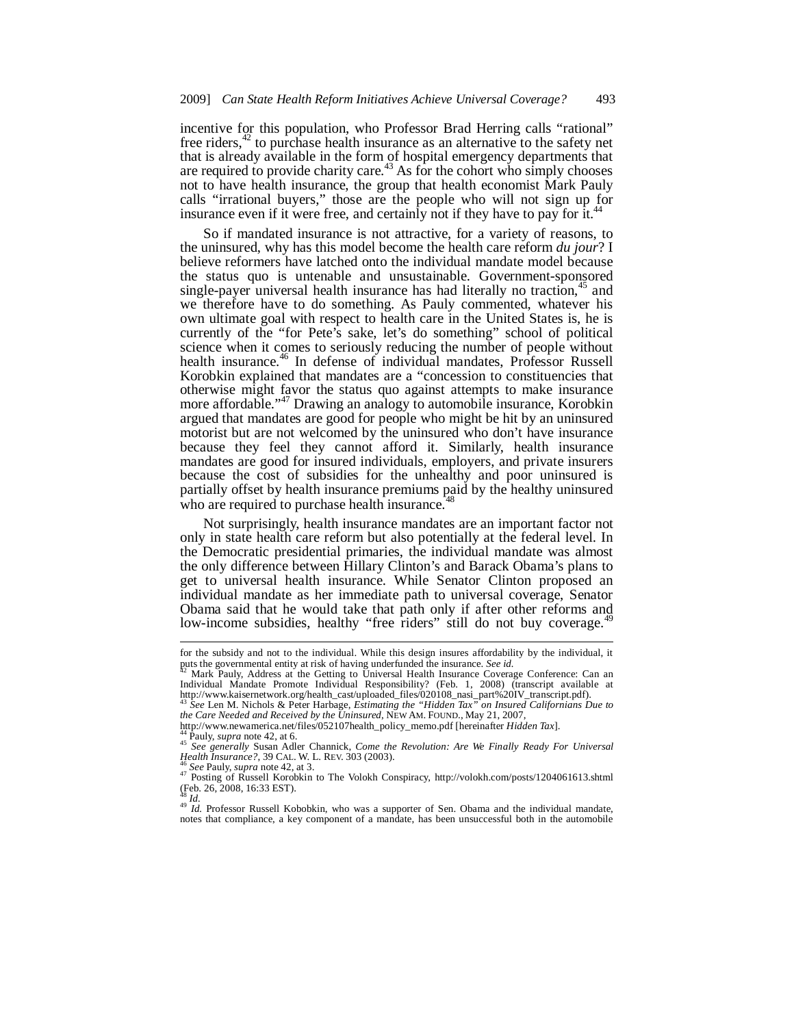incentive for this population, who Professor Brad Herring calls "rational" free riders,<sup>42</sup> to purchase health insurance as an alternative to the safety net that is already available in the form of hospital emergency departments that are required to provide charity care.<sup>43</sup> As for the cohort who simply chooses not to have health insurance, the group that health economist Mark Pauly calls "irrational buyers," those are the people who will not sign up for insurance even if it were free, and certainly not if they have to pay for  $\tilde{t}$ .<sup>44</sup>

So if mandated insurance is not attractive, for a variety of reasons, to the uninsured, why has this model become the health care reform *du jour*? I believe reformers have latched onto the individual mandate model because the status quo is untenable and unsustainable. Government-sponsored single-payer universal health insurance has had literally no traction,<sup>45</sup> and we therefore have to do something. As Pauly commented, whatever his own ultimate goal with respect to health care in the United States is, he is currently of the "for Pete's sake, let's do something" school of political science when it comes to seriously reducing the number of people without health insurance.<sup>46</sup> In defense of individual mandates, Professor Russell Korobkin explained that mandates are a "concession to constituencies that otherwise might favor the status quo against attempts to make insurance more affordable."47 Drawing an analogy to automobile insurance, Korobkin argued that mandates are good for people who might be hit by an uninsured motorist but are not welcomed by the uninsured who don't have insurance because they feel they cannot afford it. Similarly, health insurance mandates are good for insured individuals, employers, and private insurers because the cost of subsidies for the unhealthy and poor uninsured is partially offset by health insurance premiums paid by the healthy uninsured who are required to purchase health insurance.<sup>4</sup>

Not surprisingly, health insurance mandates are an important factor not only in state health care reform but also potentially at the federal level. In the Democratic presidential primaries, the individual mandate was almost the only difference between Hillary Clinton's and Barack Obama's plans to get to universal health insurance. While Senator Clinton proposed an individual mandate as her immediate path to universal coverage, Senator Obama said that he would take that path only if after other reforms and low-income subsidies, healthy "free riders" still do not buy coverage.

*the Care Needed and Received by the Uninsured*, NEW AM. FOUND., May 21, 2007,<br>http://www.newamerica.net/files/052107health\_policy\_memo.pdf [hereinafter *Hidden Tax*].

-

<sup>48</sup> *Id.* Professor Russell Kobobkin, who was a supporter of Sen. Obama and the individual mandate, notes that compliance, a key component of a mandate, has been unsuccessful both in the automobile

for the subsidy and not to the individual. While this design insures affordability by the individual, it puts the governmental entity at risk of having underfunded the insurance. *See id.* 42 Mark Pauly, Address at the Getting to Universal Health Insurance Coverage Conference: Can an

Individual Mandate Promote Individual Responsibility? (Feb. 1, 2008) (transcript available at http://www.kaisernetwork.org/health\_cast/uploaded\_files/020108\_nasi\_part%20IV\_transcript.pdf). <sup>43</sup> *See* Len M. Nichols & Peter Harbage, *Estimating the "Hidden Tax" on Insured Californians Due to* 

<sup>&</sup>lt;sup>44</sup> Pauly, *supra* note 42, at 6.<br><sup>45</sup> See generally Susan Adler Channick, *Come the Revolution: Are We Finally Ready For Universal Health Insurance?*, 39 CAL. W. L. REV. 303 (2003).

<sup>&</sup>lt;sup>46</sup> See Pauly, *supra* note 42, at 3.<br><sup>47</sup> Posting of Russell Korobkin to The Volokh Conspiracy, http://volokh.com/posts/1204061613.shtml (Feb. 26, 2008, 16:33 EST).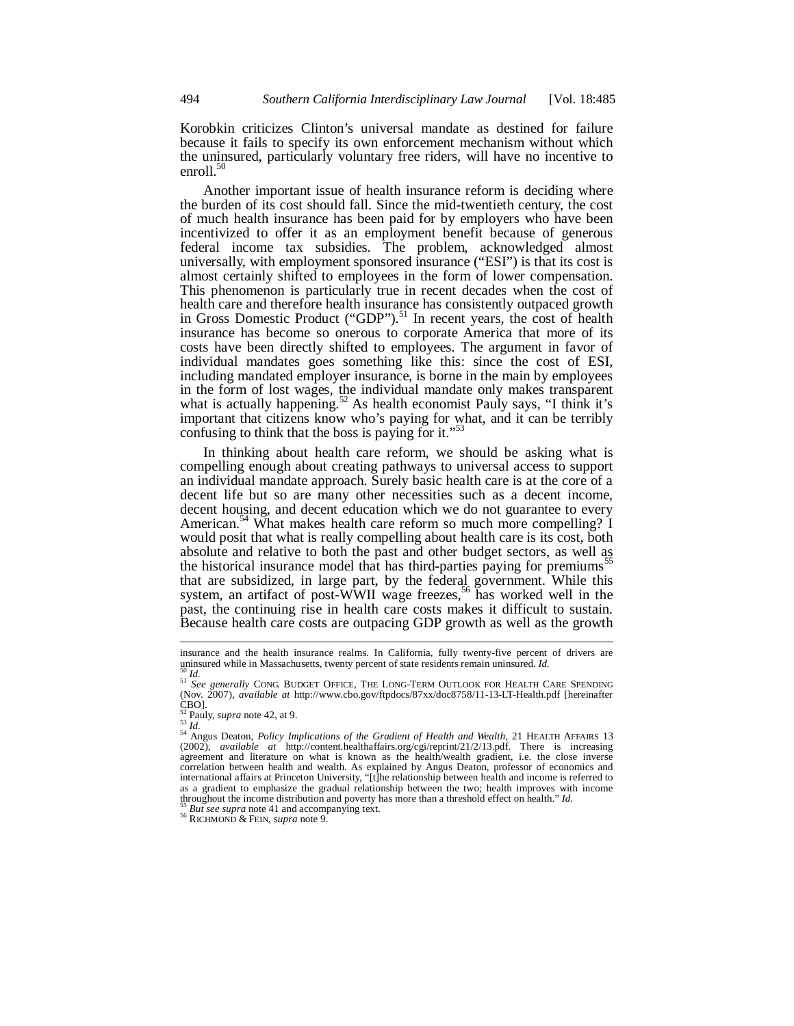Korobkin criticizes Clinton's universal mandate as destined for failure because it fails to specify its own enforcement mechanism without which the uninsured, particularly voluntary free riders, will have no incentive to enroll.<sup>50</sup>

Another important issue of health insurance reform is deciding where the burden of its cost should fall. Since the mid-twentieth century, the cost of much health insurance has been paid for by employers who have been incentivized to offer it as an employment benefit because of generous federal income tax subsidies. The problem, acknowledged almost universally, with employment sponsored insurance ("ESI") is that its cost is almost certainly shifted to employees in the form of lower compensation. This phenomenon is particularly true in recent decades when the cost of health care and therefore health insurance has consistently outpaced growth in Gross Domestic Product ("GDP").<sup>51</sup> In recent years, the cost of health insurance has become so onerous to corporate America that more of its costs have been directly shifted to employees. The argument in favor of individual mandates goes something like this: since the cost of ESI, including mandated employer insurance, is borne in the main by employees in the form of lost wages, the individual mandate only makes transparent what is actually happening.<sup>52</sup> As health economist Pauly says, "I think it's important that citizens know who's paying for what, and it can be terribly confusing to think that the boss is paying for it." $5$ 

In thinking about health care reform, we should be asking what is compelling enough about creating pathways to universal access to support an individual mandate approach. Surely basic health care is at the core of a decent life but so are many other necessities such as a decent income, decent housing, and decent education which we do not guarantee to every American.<sup>54</sup> What makes health care reform so much more compelling? I would posit that what is really compelling about health care is its cost, both absolute and relative to both the past and other budget sectors, as well as the historical insurance model that has third-parties paying for premiums<sup>55</sup> that are subsidized, in large part, by the federal government. While this system, an artifact of post-WWII wage freezes,<sup>56</sup> has worked well in the past, the continuing rise in health care costs makes it difficult to sustain. Because health care costs are outpacing GDP growth as well as the growth

insurance and the health insurance realms. In California, fully twenty-five percent of drivers are uninsured while in Massachusetts, twenty percent of state residents remain uninsured. Id.

sing *Id.* 51 *Id.* 51 *Id.* 51 *Id.* 51 *Id.* 51 *Id.* 52 *Id.* 51 *Id.* 52 *Id.* 52 *In.* 52 *In.* 52 *In.* 52 *In.* 52 *In.* 52 *In.* 52 *In.* 52 *In.* 52 *In.* 52 *In.* 52 *In.* 52 *In.* 52 *In.* 52 *In.* 52 *In.* 52 (Nov. 2007), *available at* http://www.cbo.gov/ftpdocs/87xx/doc8758/11-13-LT-Health.pdf [hereinafter CBO].<br> ${}_{52}^{\text{CO}}$ Pauly, *supra* note 42, at 9.

<sup>&</sup>lt;sup>52</sup> Pauly, *supra* note 42, at 9.<br><sup>53</sup> Id.<br><sup>54</sup> Angus Deaton, *Policy Implications of the Gradient of Health and Wealth*, 21 HEALTH AFFAIRS 13<br>(2002), *available at http://content.healthaffairs.org/cgi/reprint/21/2/13.pd* agreement and literature on what is known as the health/wealth gradient, i.e. the close inverse correlation between health and wealth. As explained by Angus Deaton, professor of economics and international affairs at Princeton University, "[t]he relationship between health and income is referred to as a gradient to emphasize the gradual relationship between the two; health improves with income throughout the income distribution and poverty has more than a threshold effect on health." *Id.* <sup>55</sup> *But see supra* note 41 and accompanying text. <sup>56</sup> RICHMOND & FEIN, *supra* note 9.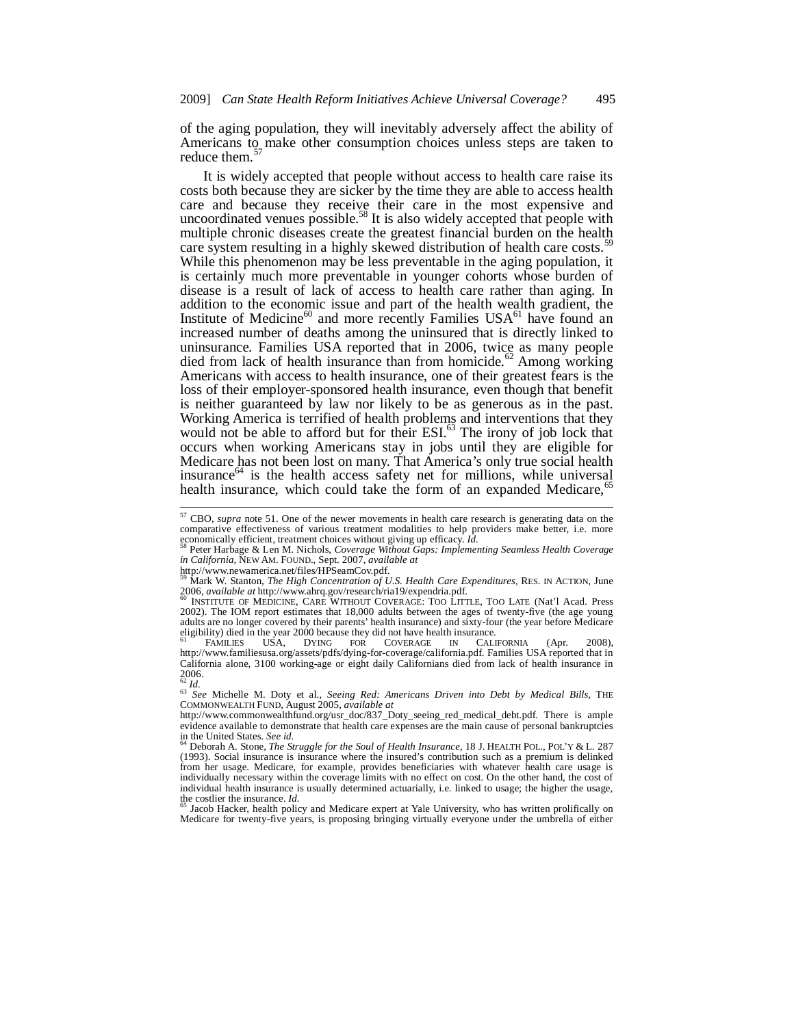of the aging population, they will inevitably adversely affect the ability of Americans to make other consumption choices unless steps are taken to reduce them.<sup>57</sup>

It is widely accepted that people without access to health care raise its costs both because they are sicker by the time they are able to access health care and because they receive their care in the most expensive and uncoordinated venues possible.<sup>58</sup> It is also widely accepted that people with multiple chronic diseases create the greatest financial burden on the health care system resulting in a highly skewed distribution of health care costs.<sup>5</sup> While this phenomenon may be less preventable in the aging population, it is certainly much more preventable in younger cohorts whose burden of disease is a result of lack of access to health care rather than aging. In addition to the economic issue and part of the health wealth gradient, the Institute of Medicine<sup>60</sup> and more recently Families USA<sup>61</sup> have found an increased number of deaths among the uninsured that is directly linked to uninsurance. Families USA reported that in 2006, twice as many people died from lack of health insurance than from homicide.<sup>62</sup> Among working Americans with access to health insurance, one of their greatest fears is the loss of their employer-sponsored health insurance, even though that benefit is neither guaranteed by law nor likely to be as generous as in the past. Working America is terrified of health problems and interventions that they would not be able to afford but for their ESI.<sup>63</sup> The irony of job lock that occurs when working Americans stay in jobs until they are eligible for Medicare has not been lost on many. That America's only true social health insurance $64$  is the health access safety net for millions, while universal health insurance, which could take the form of an expanded Medicare, $65$ 

1

I Jacob Hacker, health policy and Medicare expert at Yale University, who has written prolifically on Medicare for twenty-five years, is proposing bringing virtually everyone under the umbrella of either

<sup>57</sup> CBO, *supra* note 51. One of the newer movements in health care research is generating data on the comparative effectiveness of various treatment modalities to help providers make better, i.e. more exponentially efficient, treatment choices without giving up efficacy. *Id.* 

Peter Harbage & Len M. Nichols, *Coverage Without Gaps: Implementing Seamless Health Coverage in California*, NEW AM. FOUND., Sept. 2007, *available at*

http://www.newamerica.net/files/HPSeamCov.pdf. 59 Mark W. Stanton, *The High Concentration of U.S. Health Care Expenditures*, RES. IN ACTION, June 2006, *available at* http://www.ahrq.gov/research/ria19/expendria.pdf.<br><sup>60</sup> INSTITUTE OF MEDICINE, CARE WITHOUT COVERAGE: TOO LITTLE, TOO LATE (Nat'l Acad. Press

<sup>2002).</sup> The IOM report estimates that 18,000 adults between the ages of twenty-five (the age young adults are no longer covered by their parents' health insurance) and sixty-four (the year before Medicare eligibility) died in the year 2000 because they did not have health insurance.<br>
FAMILIES USA, DYING FOR COVERAGE IN CALIFORNIA

<sup>&</sup>lt;sup>61</sup> FAMILIES USA, DYING FOR COVERAGE IN CALIFORNIA (Apr. 2008), http://www.familiesusa.org/assets/pdfs/dying-for-coverage/california.pdf. Families USA reported that in California alone, 3100 working-age or eight daily Californians died from lack of health insurance in  $2006.$ 

<sup>62</sup> *Id.* <sup>63</sup> *See* Michelle M. Doty et al., *Seeing Red: Americans Driven into Debt by Medical Bills*, THE COMMONWEALTH FUND, August 2005, *available at*

http://www.commonwealthfund.org/usr\_doc/837\_Doty\_seeing\_red\_medical\_debt.pdf. There is ample evidence available to demonstrate that health care expenses are the main cause of personal bankruptcies  $\frac{64}{64}$  be United States. See id.

Deborah A. Stone, *The Struggle for the Soul of Health Insurance*, 18 J. HEALTH POL., POL'Y & L. 287 (1993). Social insurance is insurance where the insured's contribution such as a premium is delinked from her usage. Medicare, for example, provides beneficiaries with whatever health care usage is individually necessary within the coverage limits with no effect on cost. On the other hand, the cost of individual health insurance is usually determined actuarially, i.e. linked to usage; the higher the usage, the costlier the insurance.  $Id$ .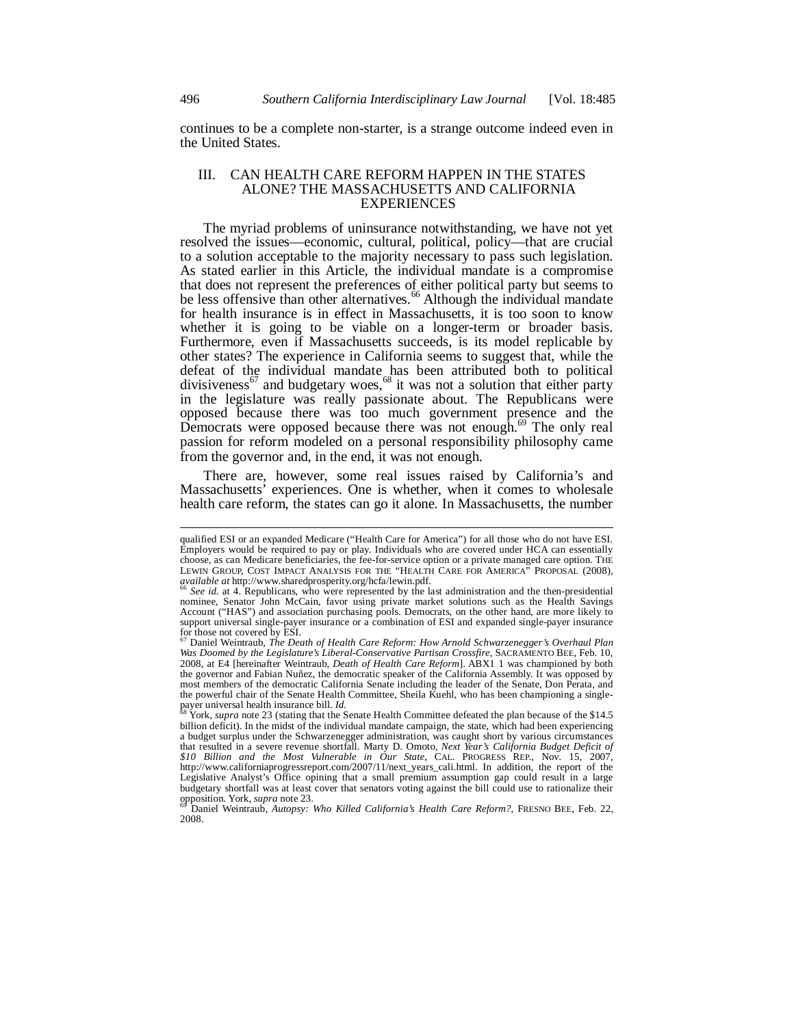continues to be a complete non-starter, is a strange outcome indeed even in the United States.

#### III. CAN HEALTH CARE REFORM HAPPEN IN THE STATES ALONE? THE MASSACHUSETTS AND CALIFORNIA EXPERIENCES

The myriad problems of uninsurance notwithstanding, we have not yet resolved the issues—economic, cultural, political, policy—that are crucial to a solution acceptable to the majority necessary to pass such legislation. As stated earlier in this Article, the individual mandate is a compromise that does not represent the preferences of either political party but seems to be less offensive than other alternatives.<sup>66</sup> Although the individual mandate for health insurance is in effect in Massachusetts, it is too soon to know whether it is going to be viable on a longer-term or broader basis. Furthermore, even if Massachusetts succeeds, is its model replicable by other states? The experience in California seems to suggest that, while the defeat of the individual mandate has been attributed both to political divisiveness<sup>67</sup> and budgetary woes,<sup>68</sup> it was not a solution that either party in the legislature was really passionate about. The Republicans were opposed because there was too much government presence and the Democrats were opposed because there was not enough.<sup>69</sup> The only real passion for reform modeled on a personal responsibility philosophy came from the governor and, in the end, it was not enough.

There are, however, some real issues raised by California's and Massachusetts' experiences. One is whether, when it comes to wholesale health care reform, the states can go it alone. In Massachusetts, the number

qualified ESI or an expanded Medicare ("Health Care for America") for all those who do not have ESI. Employers would be required to pay or play. Individuals who are covered under HCA can essentially choose, as can Medicare beneficiaries, the fee-for-service option or a private managed care option. THE LEWIN GROUP, COST IMPACT ANALYSIS FOR THE "HEALTH CARE FOR AMERICA" PROPOSAL (2008), *available at http://www.sharedprosperity.org/hcfa/lewin.pdf.* 

*See id.* at 4. Republicans, who were represented by the last administration and the then-presidential nominee, Senator John McCain, favor using private market solutions such as the Health Savings Account ("HAS") and association purchasing pools. Democrats, on the other hand, are more likely to support universal single-payer insurance or a combination of ESI and expanded single-payer insurance

for those not covered by ESI. 67 Daniel Weintraub, *The Death of Health Care Reform: How Arnold Schwarzenegger's Overhaul Plan Was Doomed by the Legislature's Liberal-Conservative Partisan Crossfire*, SACRAMENTO BEE, Feb. 10, 2008, at E4 [hereinafter Weintraub, *Death of Health Care Reform*]. ABX1 1 was championed by both the governor and Fabian Nuñez, the democratic speaker of the California Assembly. It was opposed by most members of the democratic California Senate including the leader of the Senate, Don Perata, and the powerful chair of the Senate Health Committee, Sheila Kuehl, who has been championing a singlepayer universal health insurance bill. *Id.* 68 York, *supra* note 23 (stating that the Senate Health Committee defeated the plan because of the \$14.5

billion deficit). In the midst of the individual mandate campaign, the state, which had been experiencing a budget surplus under the Schwarzenegger administration, was caught short by various circumstances that resulted in a severe revenue shortfall. Marty D. Omoto, *Next Year's California Budget Deficit of \$10 Billion and the Most Vulnerable in Our State*, CAL. PROGRESS REP., Nov. 15, 2007, http://www.californiaprogressreport.com/2007/11/next\_years\_cali.html. In addition, the report of the Legislative Analyst's Office opining that a small premium assumption gap could result in a large budgetary shortfall was at least cover that senators voting against the bill could use to rationalize their

opposition. York, *supra* note 23. 69 Daniel Weintraub, *Autopsy: Who Killed California's Health Care Reform?*, FRESNO BEE, Feb. 22, 2008.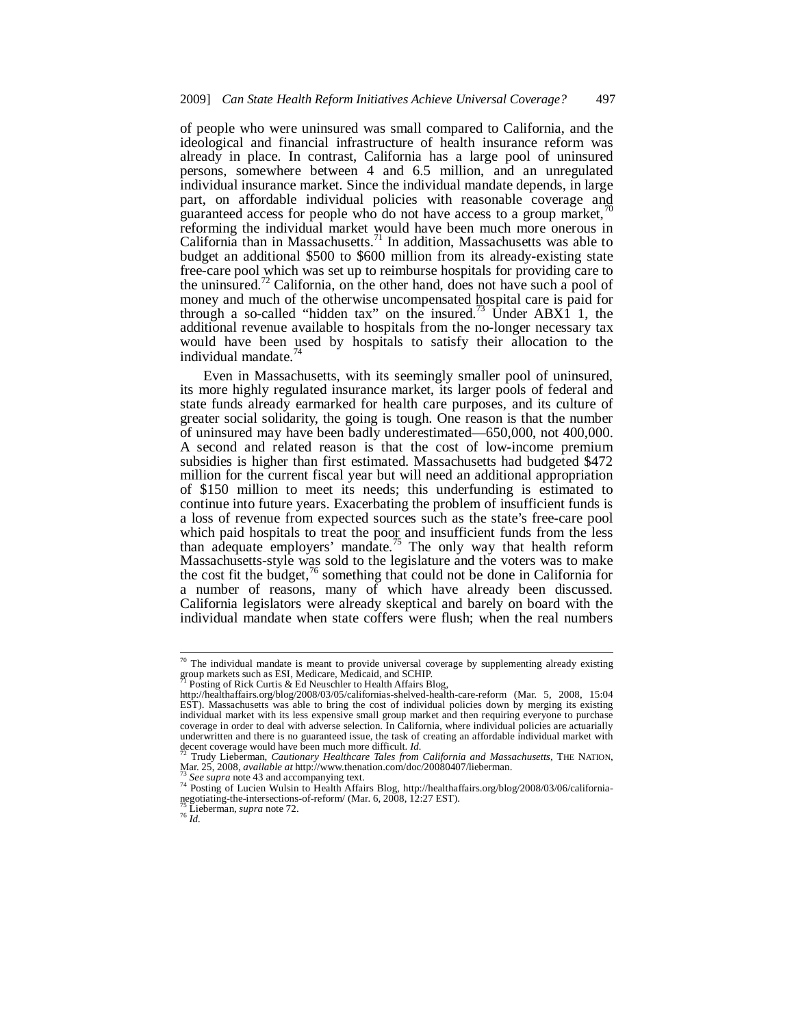of people who were uninsured was small compared to California, and the ideological and financial infrastructure of health insurance reform was already in place. In contrast, California has a large pool of uninsured persons, somewhere between 4 and 6.5 million, and an unregulated individual insurance market. Since the individual mandate depends, in large part, on affordable individual policies with reasonable coverage and guaranteed access for people who do not have access to a group market, $\mu$ reforming the individual market would have been much more onerous in California than in Massachusetts.<sup>71</sup> In addition, Massachusetts was able to budget an additional \$500 to \$600 million from its already-existing state free-care pool which was set up to reimburse hospitals for providing care to the uninsured.<sup>72</sup> California, on the other hand, does not have such a pool of money and much of the otherwise uncompensated hospital care is paid for through a so-called "hidden tax" on the insured.<sup>73</sup> Under ABX1 1, the additional revenue available to hospitals from the no-longer necessary tax would have been used by hospitals to satisfy their allocation to the individual mandate.<sup>74</sup>

Even in Massachusetts, with its seemingly smaller pool of uninsured, its more highly regulated insurance market, its larger pools of federal and state funds already earmarked for health care purposes, and its culture of greater social solidarity, the going is tough. One reason is that the number of uninsured may have been badly underestimated—650,000, not 400,000. A second and related reason is that the cost of low-income premium subsidies is higher than first estimated. Massachusetts had budgeted \$472 million for the current fiscal year but will need an additional appropriation of \$150 million to meet its needs; this underfunding is estimated to continue into future years. Exacerbating the problem of insufficient funds is a loss of revenue from expected sources such as the state's free-care pool which paid hospitals to treat the poor and insufficient funds from the less than adequate employers' mandate.<sup>75</sup> The only way that health reform Massachusetts-style was sold to the legislature and the voters was to make the cost fit the budget,<sup>76</sup> something that could not be done in California for a number of reasons, many of which have already been discussed. California legislators were already skeptical and barely on board with the individual mandate when state coffers were flush; when the real numbers

 $^{70}$  The individual mandate is meant to provide universal coverage by supplementing already existing group markets such as ESI, Medicare, Medicaid, and SCHIP.

Posting of Rick Curtis  $\&$  Ed Neuschler to Health Affairs Blog,

http://healthaffairs.org/blog/2008/03/05/californias-shelved-health-care-reform (Mar. 5, 2008, 15:04 EST). Massachusetts was able to bring the cost of individual policies down by merging its existing individual market with its less expensive small group market and then requiring everyone to purchase coverage in order to deal with adverse selection. In California, where individual policies are actuarially underwritten and there is no guaranteed issue, the task of creating an affordable individual market with

decent coverage would have been much more difficult. *Id.* 72 Trudy Lieberman, *Cautionary Healthcare Tales from California and Massachusetts*, THE NATION, Mar. 25, 2008, *available at http://www.thenation.com/doc/20080407* 

Mar. 25, 2008, *available at* http://www.thenation.com/doc/20080407/lieberman.<br><sup>73</sup> See supra note 43 and accompanying text.<br><sup>74</sup> Posting of Lucien Wulsin to Health Affairs Blog, http://healthaffairs.org/blog/2008/03/06/ca

<sup>75</sup> Lieberman, *supra* note 72. 76 *Id.*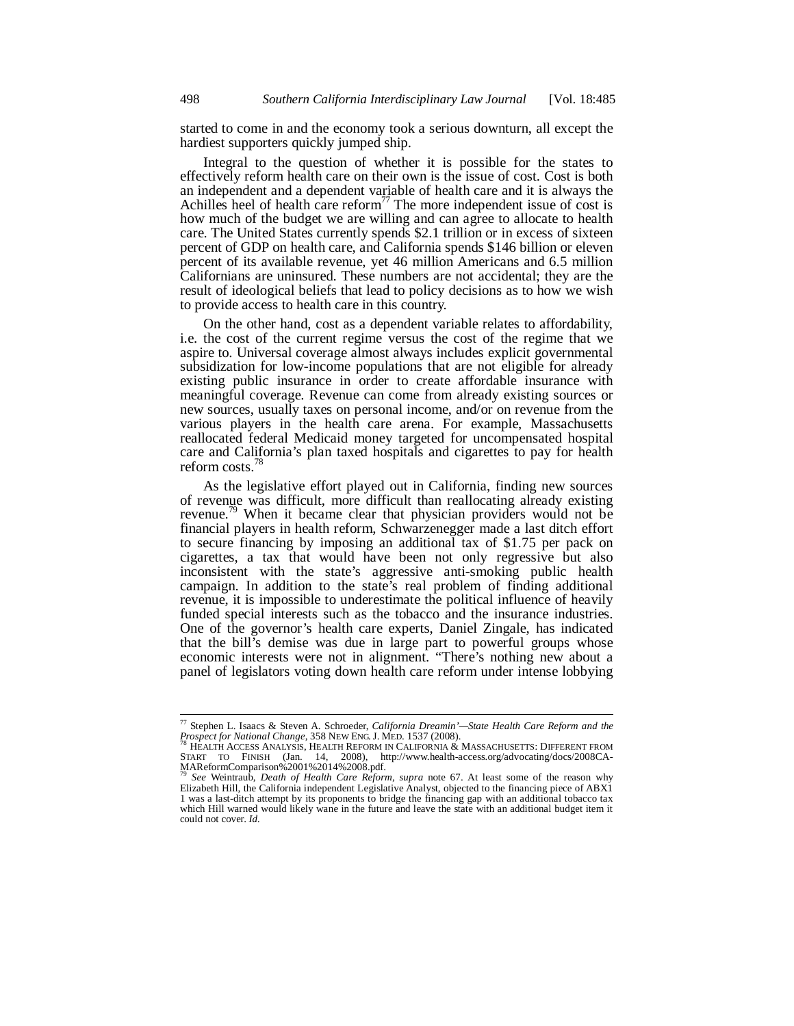started to come in and the economy took a serious downturn, all except the hardiest supporters quickly jumped ship.

Integral to the question of whether it is possible for the states to effectively reform health care on their own is the issue of cost. Cost is both an independent and a dependent variable of health care and it is always the Achilles heel of health care reform<sup>77</sup> The more independent issue of cost is how much of the budget we are willing and can agree to allocate to health care. The United States currently spends \$2.1 trillion or in excess of sixteen percent of GDP on health care, and California spends \$146 billion or eleven percent of its available revenue, yet 46 million Americans and 6.5 million Californians are uninsured. These numbers are not accidental; they are the result of ideological beliefs that lead to policy decisions as to how we wish to provide access to health care in this country.

On the other hand, cost as a dependent variable relates to affordability, i.e. the cost of the current regime versus the cost of the regime that we aspire to. Universal coverage almost always includes explicit governmental subsidization for low-income populations that are not eligible for already existing public insurance in order to create affordable insurance with meaningful coverage. Revenue can come from already existing sources or new sources, usually taxes on personal income, and/or on revenue from the various players in the health care arena. For example, Massachusetts reallocated federal Medicaid money targeted for uncompensated hospital care and California's plan taxed hospitals and cigarettes to pay for health reform costs.<sup>78</sup>

As the legislative effort played out in California, finding new sources of revenue was difficult, more difficult than reallocating already existing revenue.<sup>79</sup> When it became clear that physician providers would not be financial players in health reform, Schwarzenegger made a last ditch effort to secure financing by imposing an additional tax of \$1.75 per pack on cigarettes, a tax that would have been not only regressive but also inconsistent with the state's aggressive anti-smoking public health campaign. In addition to the state's real problem of finding additional revenue, it is impossible to underestimate the political influence of heavily funded special interests such as the tobacco and the insurance industries. One of the governor's health care experts, Daniel Zingale, has indicated that the bill's demise was due in large part to powerful groups whose economic interests were not in alignment. "There's nothing new about a panel of legislators voting down health care reform under intense lobbying

<sup>77</sup> Stephen L. Isaacs & Steven A. Schroeder, *California Dreamin'—State Health Care Reform and the Prospect for National Change*, 358 NEW ENG. J. MED. 1537 (2008).<br><sup>78</sup> HEALTH ACCESS ANALYSIS, HEALTH REFORM IN CALIFORNIA & MASSACHUSETTS: DIFFERENT FROM

START TO FINISH (Jan. 14, 2008), http://www.health-access.org/advocating/docs/2008CA-MAReformComparison%2001%2014%2008.pdf.

<sup>79</sup> *See* Weintraub, *Death of Health Care Reform*, *supra* note 67. At least some of the reason why Elizabeth Hill, the California independent Legislative Analyst, objected to the financing piece of ABX1 1 was a last-ditch attempt by its proponents to bridge the financing gap with an additional tobacco tax which Hill warned would likely wane in the future and leave the state with an additional budget item it could not cover. *Id.*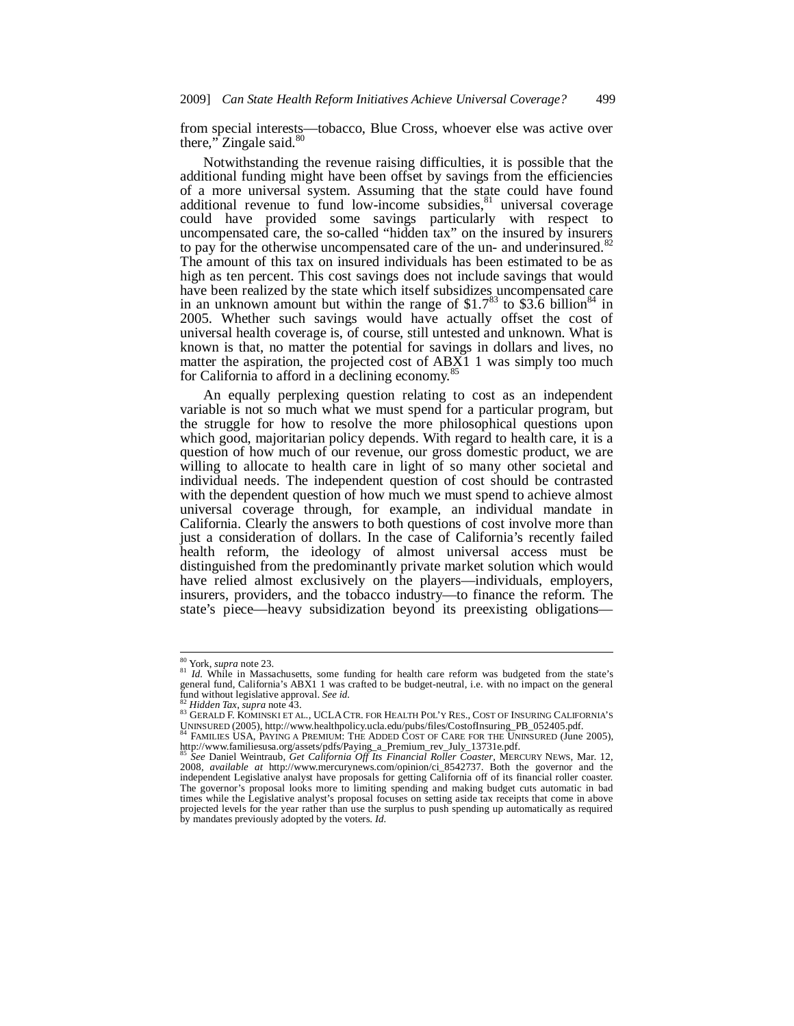from special interests—tobacco, Blue Cross, whoever else was active over there," Zingale said.<sup>80</sup>

Notwithstanding the revenue raising difficulties, it is possible that the additional funding might have been offset by savings from the efficiencies of a more universal system. Assuming that the state could have found additional revenue to fund low-income subsidies, $81$  universal coverage could have provided some savings particularly with respect to uncompensated care, the so-called "hidden tax" on the insured by insurers to pay for the otherwise uncompensated care of the un- and underinsured. $82$ The amount of this tax on insured individuals has been estimated to be as high as ten percent. This cost savings does not include savings that would have been realized by the state which itself subsidizes uncompensated care in an unknown amount but within the range of  $$1.7^{83}$  to \$3.6 billion<sup>84</sup> in 2005. Whether such savings would have actually offset the cost of universal health coverage is, of course, still untested and unknown. What is known is that, no matter the potential for savings in dollars and lives, no matter the aspiration, the projected cost of ABX1 1 was simply too much for California to afford in a declining economy. $\delta$ 

An equally perplexing question relating to cost as an independent variable is not so much what we must spend for a particular program, but the struggle for how to resolve the more philosophical questions upon which good, majoritarian policy depends. With regard to health care, it is a question of how much of our revenue, our gross domestic product, we are willing to allocate to health care in light of so many other societal and individual needs. The independent question of cost should be contrasted with the dependent question of how much we must spend to achieve almost universal coverage through, for example, an individual mandate in California. Clearly the answers to both questions of cost involve more than just a consideration of dollars. In the case of California's recently failed health reform, the ideology of almost universal access must be distinguished from the predominantly private market solution which would have relied almost exclusively on the players—individuals, employers, insurers, providers, and the tobacco industry—to finance the reform. The state's piece—heavy subsidization beyond its preexisting obligations—

<sup>80</sup> York, *supra* note 23.

<sup>&</sup>lt;sup>81</sup> *Id.* While in Massachusetts, some funding for health care reform was budgeted from the state's general fund, California's ABX1 1 was crafted to be budget-neutral, i.e. with no impact on the general fund without legislative approval. See id.

<sup>&</sup>lt;sup>82</sup> *Hidden Tax, supra* note 43.<br><sup>83</sup> GERALD F. KOMINSKI ET AL., UCLA CTR. FOR HEALTH POL'Y RES., COST OF INSURING CALIFORNIA'S UNINSURED (2005), http://www.healthpolicy.ucla.edu/pubs/files/CostofInsuring\_PB\_052405.pdf. 84 FAMILIES USA, PAYING A PREMIUM: THE ADDED COST OF CARE FOR THE UNINSURED (June 2005),

http://www.familiesusa.org/assets/pdfs/Paying\_a\_Premium\_rev\_July\_13731e.pdf.

<sup>85</sup> *See* Daniel Weintraub, *Get California Off Its Financial Roller Coaster*, MERCURY NEWS, Mar. 12, 2008, *available at* http://www.mercurynews.com/opinion/ci\_8542737. Both the governor and the independent Legislative analyst have proposals for getting California off of its financial roller coaster. The governor's proposal looks more to limiting spending and making budget cuts automatic in bad times while the Legislative analyst's proposal focuses on setting aside tax receipts that come in above projected levels for the year rather than use the surplus to push spending up automatically as required by mandates previously adopted by the voters. *Id.*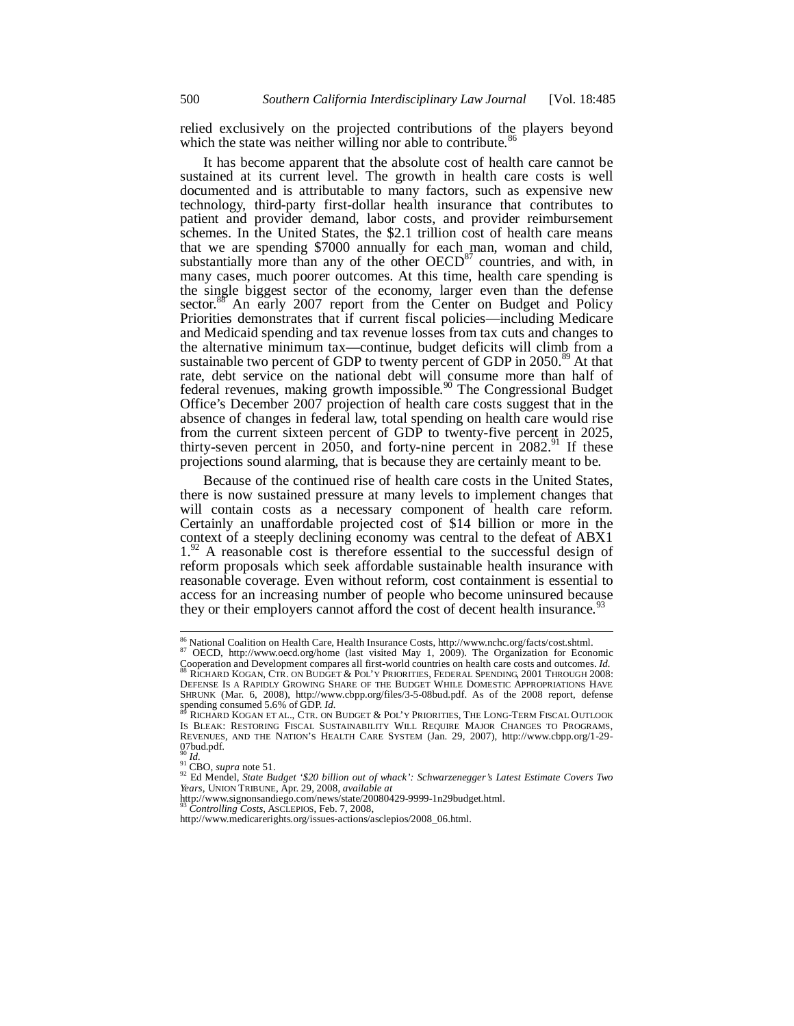relied exclusively on the projected contributions of the players beyond which the state was neither willing nor able to contribute.<sup>86</sup>

It has become apparent that the absolute cost of health care cannot be sustained at its current level. The growth in health care costs is well documented and is attributable to many factors, such as expensive new technology, third-party first-dollar health insurance that contributes to patient and provider demand, labor costs, and provider reimbursement schemes. In the United States, the \$2.1 trillion cost of health care means that we are spending \$7000 annually for each man, woman and child, substantially more than any of the other  $OECD^{87}$  countries, and with, in many cases, much poorer outcomes. At this time, health care spending is the single biggest sector of the economy, larger even than the defense sector.<sup>88</sup> An early 2007 report from the Center on Budget and Policy Priorities demonstrates that if current fiscal policies—including Medicare and Medicaid spending and tax revenue losses from tax cuts and changes to the alternative minimum tax—continue, budget deficits will climb from a sustainable two percent of GDP to twenty percent of GDP in  $2050$ .<sup>89</sup> At that rate, debt service on the national debt will consume more than half of federal revenues, making growth impossible.<sup>90</sup> The Congressional Budget Office's December 2007 projection of health care costs suggest that in the absence of changes in federal law, total spending on health care would rise from the current sixteen percent of GDP to twenty-five percent in 2025, thirty-seven percent in  $2050$ , and forty-nine percent in  $2082$ <sup>91</sup> If these projections sound alarming, that is because they are certainly meant to be.

Because of the continued rise of health care costs in the United States, there is now sustained pressure at many levels to implement changes that will contain costs as a necessary component of health care reform. Certainly an unaffordable projected cost of \$14 billion or more in the context of a steeply declining economy was central to the defeat of ABX1  $1.^{92}$  A reasonable cost is therefore essential to the successful design of reform proposals which seek affordable sustainable health insurance with reasonable coverage. Even without reform, cost containment is essential to access for an increasing number of people who become uninsured because they or their employers cannot afford the cost of decent health insurance.<sup>9</sup>

 $\overline{a}$ 

<sup>&</sup>lt;sup>86</sup> National Coalition on Health Care, Health Insurance Costs, http://www.nchc.org/facts/cost.shtml.<br><sup>87</sup> OECD, http://www.oecd.org/home (last visited May 1, 2009). The Organization for Economic

Cooperation and Development compares all first-world countries on health care costs and outcomes. *Id.* 88 RICHARD KOGAN, CTR. ON BUDGET & POL'Y PRIORITIES, FEDERAL SPENDING, <sup>2001</sup> THROUGH 2008: DEFENSE IS A RAPIDLY GROWING SHARE OF THE BUDGET WHILE DOMESTIC APPROPRIATIONS HAVE SHRUNK (Mar. 6, 2008), http://www.cbpp.org/files/3-5-08bud.pdf. As of the 2008 report, defense spending consumed 5.6% of GDP. *Id.* 

RICHARD KOGAN ET AL., CTR. ON BUDGET & POL'Y PRIORITIES, THE LONG-TERM FISCAL OUTLOOK IS BLEAK: RESTORING FISCAL SUSTAINABILITY WILL REQUIRE MAJOR CHANGES TO PROGRAMS, REVENUES, AND THE NATION'S HEALTH CARE SYSTEM (Jan. 29, 2007), http://www.cbpp.org/1-29- 07bud.pdf.<br> $^{90}$  *Id.*<br> $^{91}$  CBO. *supra* note 51.

<sup>90</sup> *Id.* 91 CBO, *supra* note 51. 92 Ed Mendel, *State Budget '\$20 billion out of whack': Schwarzenegger's Latest Estimate Covers Two Years*, UNION TRIBUNE, Apr. 29, 2008, *available at*

http://www.signonsandiego.com/news/state/20080429-9999-1n29budget.html.

<sup>93</sup> *Controlling Costs*, ASCLEPIOS, Feb. 7, 2008,

http://www.medicarerights.org/issues-actions/asclepios/2008\_06.html.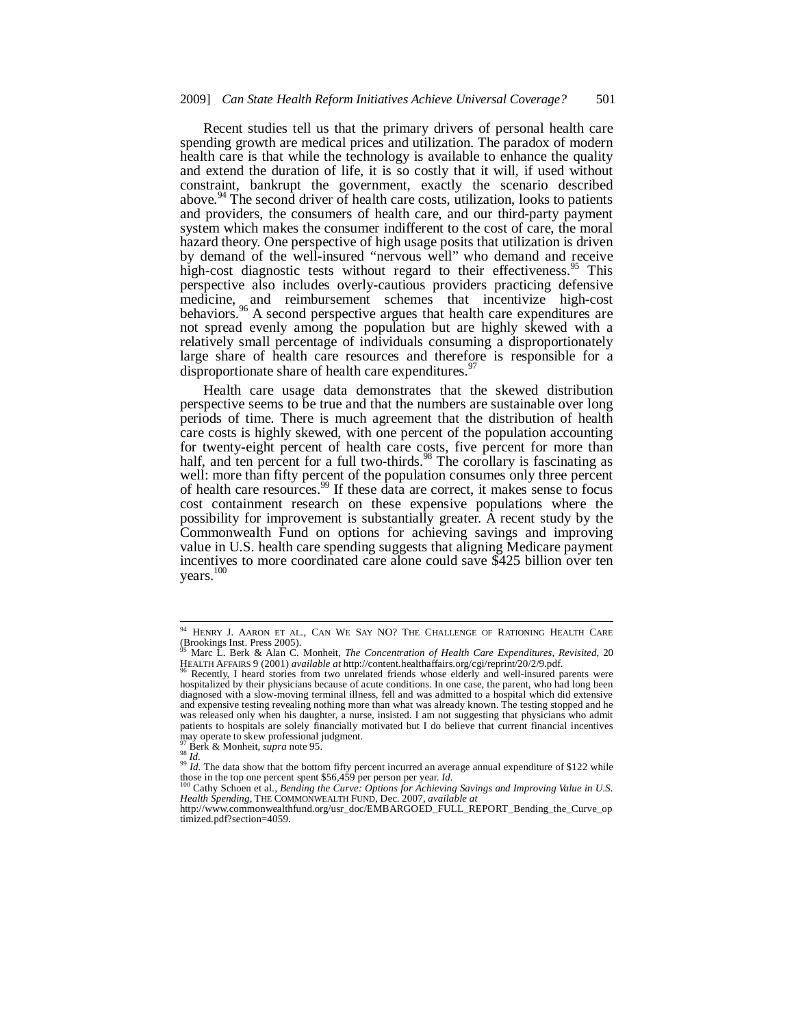Recent studies tell us that the primary drivers of personal health care spending growth are medical prices and utilization. The paradox of modern health care is that while the technology is available to enhance the quality and extend the duration of life, it is so costly that it will, if used without constraint, bankrupt the government, exactly the scenario described above.<sup>94</sup> The second driver of health care costs, utilization, looks to patients and providers, the consumers of health care, and our third-party payment system which makes the consumer indifferent to the cost of care, the moral hazard theory. One perspective of high usage posits that utilization is driven by demand of the well-insured "nervous well" who demand and receive high-cost diagnostic tests without regard to their effectiveness.<sup>95</sup> This perspective also includes overly-cautious providers practicing defensive medicine, and reimbursement schemes that incentivize high-cost behaviors.<sup>96</sup> A second perspective argues that health care expenditures are not spread evenly among the population but are highly skewed with a relatively small percentage of individuals consuming a disproportionately large share of health care resources and therefore is responsible for a disproportionate share of health care expenditures.<sup>9</sup>

Health care usage data demonstrates that the skewed distribution perspective seems to be true and that the numbers are sustainable over long periods of time. There is much agreement that the distribution of health care costs is highly skewed, with one percent of the population accounting for twenty-eight percent of health care costs, five percent for more than half, and ten percent for a full two-thirds.<sup>98</sup> The corollary is fascinating as well: more than fifty percent of the population consumes only three percent of health care resources.<sup>99</sup> If these data are correct, it makes sense to focus cost containment research on these expensive populations where the possibility for improvement is substantially greater. A recent study by the Commonwealth Fund on options for achieving savings and improving value in U.S. health care spending suggests that aligning Medicare payment incentives to more coordinated care alone could save \$425 billion over ten years.<sup>100</sup>

<sup>&</sup>lt;sup>94</sup> HENRY J. AARON ET AL., CAN WE SAY NO? THE CHALLENGE OF RATIONING HEALTH CARE (Brookings Inst. Press 2005).

<sup>95</sup> Marc L. Berk & Alan C. Monheit, *The Concentration of Health Care Expenditures, Revisited*, 20 HEALTH AFFAIRS 9 (2001) *available at* http://content.healthaffairs.org/cgi/reprint/20/2/9.pdf. 96 Recently, I heard stories from two unrelated friends whose elderly and well-insured parents were

hospitalized by their physicians because of acute conditions. In one case, the parent, who had long been diagnosed with a slow-moving terminal illness, fell and was admitted to a hospital which did extensive and expensive testing revealing nothing more than what was already known. The testing stopped and he was released only when his daughter, a nurse, insisted. I am not suggesting that physicians who admit patients to hospitals are solely financially motivated but I do believe that current financial incentives may operate to skew professional judgment.

<sup>&</sup>lt;sup>97</sup> Berk & Monheit, *supra* note 95.<br><sup>98</sup> *Id.*<br><sup>99</sup> *Id.* The data show that the bottom fifty percent incurred an average annual expenditure of \$122 while those in the top one percent spent \$56,459 per person per year. *Id.* <sup>100</sup> Cathy Schoen et al., *Bending the Curve: Options for Achieving Savings and Improving Value in U.S.* 

<sup>&</sup>lt;sup>100</sup> Cathy Schoen et al., *Bending the Curve: Options for Achieving Savings and Improving Value in U.S.*<br>Health Spending, THE COMMONWEALTH FUND, Dec. 2007, *available at* 

http://www.commonwealthfund.org/usr\_doc/EMBARGOED\_FULL\_REPORT\_Bending\_the\_Curve\_op timized.pdf?section=4059.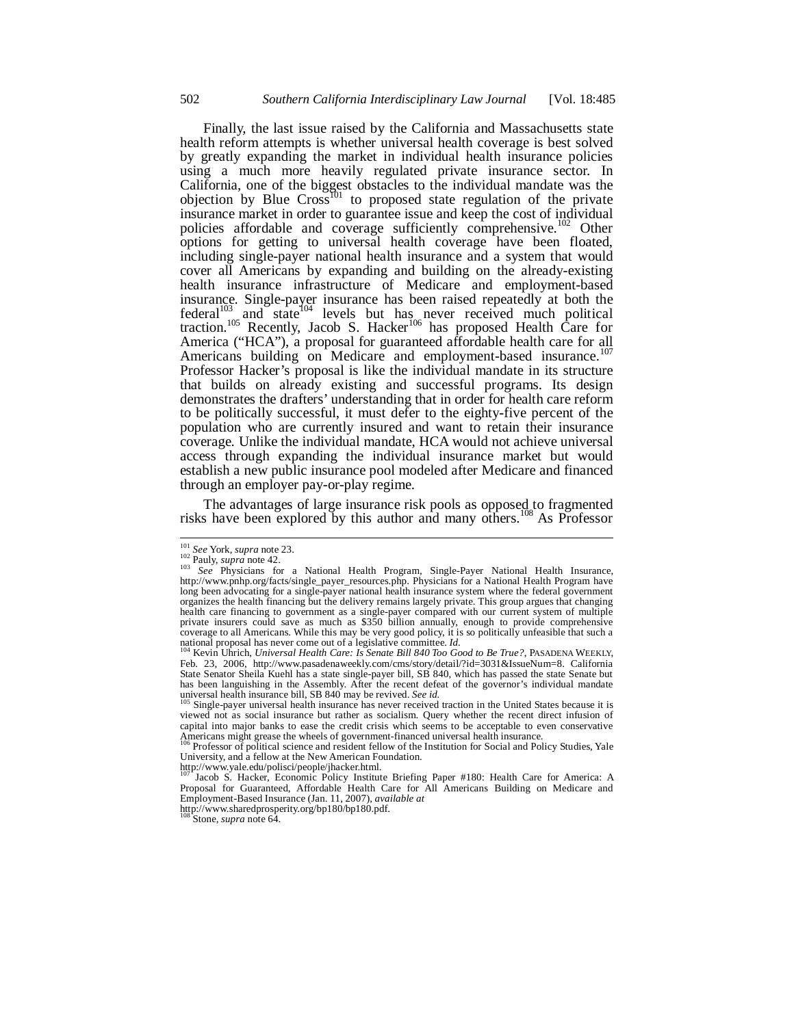Finally, the last issue raised by the California and Massachusetts state health reform attempts is whether universal health coverage is best solved by greatly expanding the market in individual health insurance policies using a much more heavily regulated private insurance sector. In California, one of the biggest obstacles to the individual mandate was the objection by Blue  $Cross<sup>T01</sup>$  to proposed state regulation of the private insurance market in order to guarantee issue and keep the cost of individual policies affordable and coverage sufficiently comprehensive.<sup>102</sup> Other options for getting to universal health coverage have been floated, including single-payer national health insurance and a system that would cover all Americans by expanding and building on the already-existing health insurance infrastructure of Medicare and employment-based insurance. Single-payer insurance has been raised repeatedly at both the federal<sup>103</sup> and state<sup>104</sup> levels but has never received much political traction.<sup>105</sup> Recently, Jacob S. Hacker<sup>106</sup> has proposed Health Care for America ("HCA"), a proposal for guaranteed affordable health care for all Americans building on Medicare and employment-based insurance.<sup>1</sup> Professor Hacker's proposal is like the individual mandate in its structure that builds on already existing and successful programs. Its design demonstrates the drafters' understanding that in order for health care reform to be politically successful, it must defer to the eighty-five percent of the population who are currently insured and want to retain their insurance coverage. Unlike the individual mandate, HCA would not achieve universal access through expanding the individual insurance market but would establish a new public insurance pool modeled after Medicare and financed through an employer pay-or-play regime.

The advantages of large insurance risk pools as opposed to fragmented risks have been explored by this author and many others.<sup>108</sup> As Professor

<sup>&</sup>lt;sup>101</sup> See York, supra note 23.

<sup>101</sup> *See* York, *supra* note 23. 102 Pauly, *supra* note 42. 103 *See* Physicians for a National Health Program, Single-Payer National Health Insurance, http://www.pnhp.org/facts/single\_payer\_resources.php. Physicians for a National Health Program have long been advocating for a single-payer national health insurance system where the federal government organizes the health financing but the delivery remains largely private. This group argues that changing health care financing to government as a single-payer compared with our current system of multiple private insurers could save as much as \$350 billion annually, enough to provide comprehensive coverage to all Americans. While this may be very good policy, it is so politically unfeasible that such a national proposal has never come out of a legislative committee. *Id.* <sup>104</sup> Kevin Uhrich, *Universal Health Care: Is Senate Bill 840 Too Good to Be True?*, PASADENA WEEKLY,

Feb. 23, 2006, http://www.pasadenaweekly.com/cms/story/detail/?id=3031&IssueNum=8. California State Senator Sheila Kuehl has a state single-payer bill, SB 840, which has passed the state Senate but has been languishing in the Assembly. After the recent defeat of the governor's individual mandate universal health insurance bill, SB 840 may be revived. See id.

Single-payer universal health insurance has never received traction in the United States because it is viewed not as social insurance but rather as socialism. Query whether the recent direct infusion of capital into major banks to ease the credit crisis which seems to be acceptable to even conservative

Americans might grease the wheels of government-financed universal health insurance.<br><sup>106</sup> Professor of political science and resident fellow of the Institution for Social and Policy Studies, Yale University, and a fellow at the New American Foundation.

http://www.yale.edu/polisci/people/jhacker.html.

Iacob S. Hacker, Economic Policy Institute Briefing Paper #180: Health Care for America: A Proposal for Guaranteed, Affordable Health Care for All Americans Building on Medicare and Employment-Based Insurance (Jan. 11, 2007), *available at* http://www.sharedprosperity.org/bp180/bp180.pdf.

Stone, *supra* note 64.